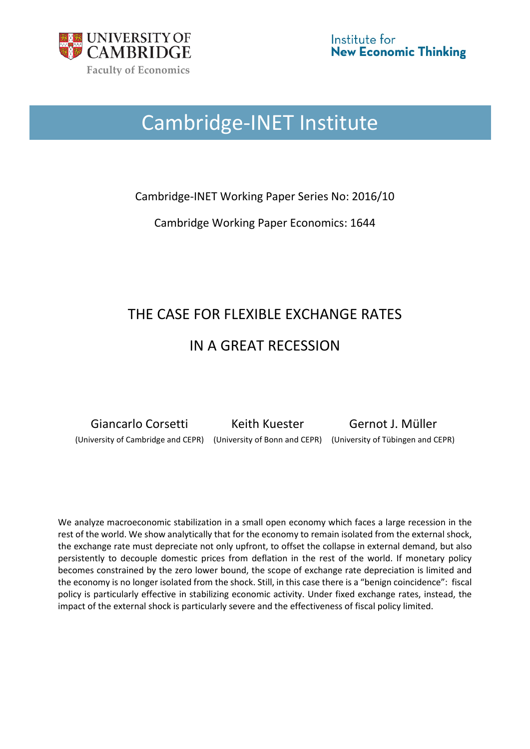

# Cambridge-INET Institute

Cambridge-INET Working Paper Series No: 2016/10

Cambridge Working Paper Economics: 1644

## THE CASE FOR FLEXIBLE EXCHANGE RATES IN A GREAT RECESSION

Giancarlo Corsetti Keith Kuester Gernot J. Müller (University of Cambridge and CEPR) (University of Bonn and CEPR) (University of Tübingen and CEPR)

We analyze macroeconomic stabilization in a small open economy which faces a large recession in the rest of the world. We show analytically that for the economy to remain isolated from the external shock, the exchange rate must depreciate not only upfront, to offset the collapse in external demand, but also persistently to decouple domestic prices from deflation in the rest of the world. If monetary policy becomes constrained by the zero lower bound, the scope of exchange rate depreciation is limited and the economy is no longer isolated from the shock. Still, in this case there is a "benign coincidence": fiscal policy is particularly effective in stabilizing economic activity. Under fixed exchange rates, instead, the impact of the external shock is particularly severe and the effectiveness of fiscal policy limited.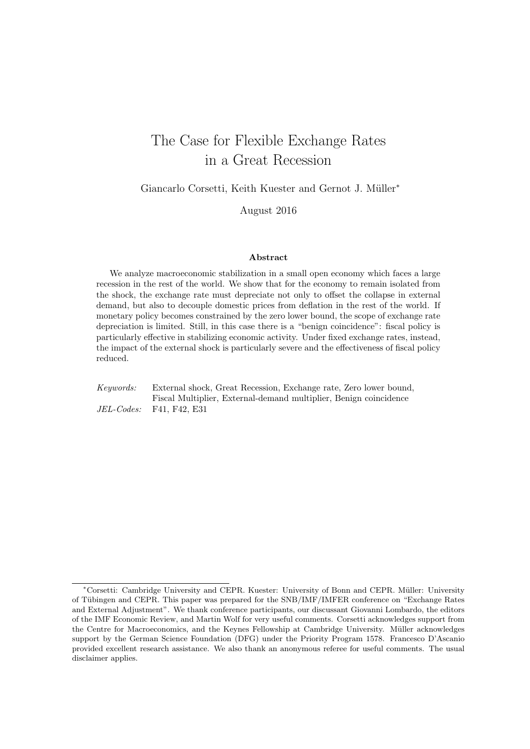## The Case for Flexible Exchange Rates in a Great Recession

Giancarlo Corsetti, Keith Kuester and Gernot J. Müller<sup>\*</sup>

August 2016

#### Abstract

We analyze macroeconomic stabilization in a small open economy which faces a large recession in the rest of the world. We show that for the economy to remain isolated from the shock, the exchange rate must depreciate not only to offset the collapse in external demand, but also to decouple domestic prices from deflation in the rest of the world. If monetary policy becomes constrained by the zero lower bound, the scope of exchange rate depreciation is limited. Still, in this case there is a "benign coincidence": fiscal policy is particularly effective in stabilizing economic activity. Under fixed exchange rates, instead, the impact of the external shock is particularly severe and the effectiveness of fiscal policy reduced.

Keywords: External shock, Great Recession, Exchange rate, Zero lower bound, Fiscal Multiplier, External-demand multiplier, Benign coincidence JEL-Codes: F41, F42, E31

<sup>∗</sup>Corsetti: Cambridge University and CEPR. Kuester: University of Bonn and CEPR. M¨uller: University of Tübingen and CEPR. This paper was prepared for the SNB/IMF/IMFER conference on "Exchange Rates and External Adjustment". We thank conference participants, our discussant Giovanni Lombardo, the editors of the IMF Economic Review, and Martin Wolf for very useful comments. Corsetti acknowledges support from the Centre for Macroeconomics, and the Keynes Fellowship at Cambridge University. Müller acknowledges support by the German Science Foundation (DFG) under the Priority Program 1578. Francesco D'Ascanio provided excellent research assistance. We also thank an anonymous referee for useful comments. The usual disclaimer applies.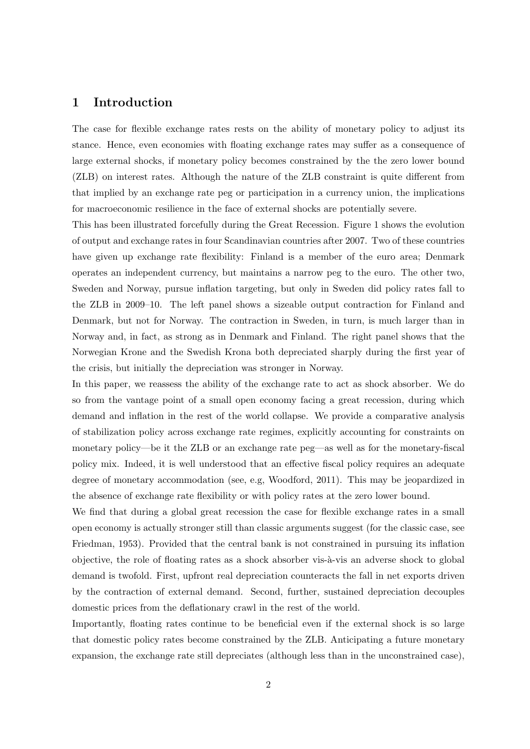### 1 Introduction

The case for flexible exchange rates rests on the ability of monetary policy to adjust its stance. Hence, even economies with floating exchange rates may suffer as a consequence of large external shocks, if monetary policy becomes constrained by the the zero lower bound (ZLB) on interest rates. Although the nature of the ZLB constraint is quite different from that implied by an exchange rate peg or participation in a currency union, the implications for macroeconomic resilience in the face of external shocks are potentially severe.

This has been illustrated forcefully during the Great Recession. Figure 1 shows the evolution of output and exchange rates in four Scandinavian countries after 2007. Two of these countries have given up exchange rate flexibility: Finland is a member of the euro area; Denmark operates an independent currency, but maintains a narrow peg to the euro. The other two, Sweden and Norway, pursue inflation targeting, but only in Sweden did policy rates fall to the ZLB in 2009–10. The left panel shows a sizeable output contraction for Finland and Denmark, but not for Norway. The contraction in Sweden, in turn, is much larger than in Norway and, in fact, as strong as in Denmark and Finland. The right panel shows that the Norwegian Krone and the Swedish Krona both depreciated sharply during the first year of the crisis, but initially the depreciation was stronger in Norway.

In this paper, we reassess the ability of the exchange rate to act as shock absorber. We do so from the vantage point of a small open economy facing a great recession, during which demand and inflation in the rest of the world collapse. We provide a comparative analysis of stabilization policy across exchange rate regimes, explicitly accounting for constraints on monetary policy—be it the ZLB or an exchange rate peg—as well as for the monetary-fiscal policy mix. Indeed, it is well understood that an effective fiscal policy requires an adequate degree of monetary accommodation (see, e.g, Woodford, 2011). This may be jeopardized in the absence of exchange rate flexibility or with policy rates at the zero lower bound.

We find that during a global great recession the case for flexible exchange rates in a small open economy is actually stronger still than classic arguments suggest (for the classic case, see Friedman, 1953). Provided that the central bank is not constrained in pursuing its inflation objective, the role of floating rates as a shock absorber vis- $\grave{a}$ -vis an adverse shock to global demand is twofold. First, upfront real depreciation counteracts the fall in net exports driven by the contraction of external demand. Second, further, sustained depreciation decouples domestic prices from the deflationary crawl in the rest of the world.

Importantly, floating rates continue to be beneficial even if the external shock is so large that domestic policy rates become constrained by the ZLB. Anticipating a future monetary expansion, the exchange rate still depreciates (although less than in the unconstrained case),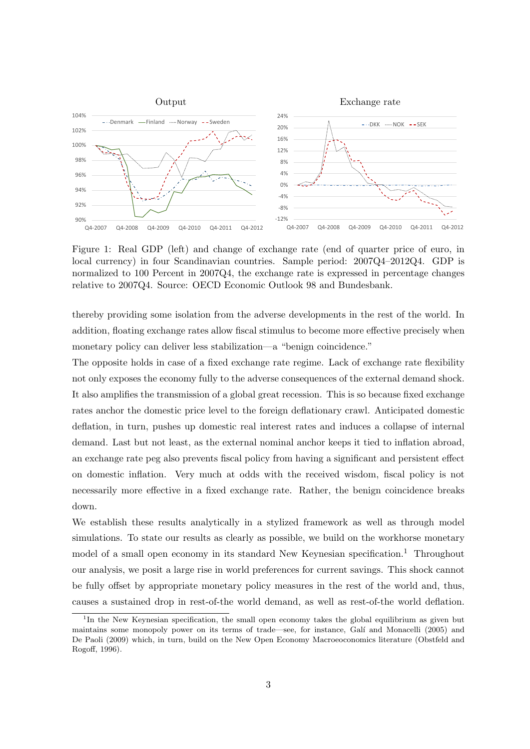

Figure 1: Real GDP (left) and change of exchange rate (end of quarter price of euro, in local currency) in four Scandinavian countries. Sample period: 2007Q4–2012Q4. GDP is normalized to 100 Percent in 2007Q4, the exchange rate is expressed in percentage changes relative to 2007Q4. Source: OECD Economic Outlook 98 and Bundesbank.

thereby providing some isolation from the adverse developments in the rest of the world. In addition, floating exchange rates allow fiscal stimulus to become more effective precisely when monetary policy can deliver less stabilization—a "benign coincidence."

The opposite holds in case of a fixed exchange rate regime. Lack of exchange rate flexibility not only exposes the economy fully to the adverse consequences of the external demand shock. It also amplifies the transmission of a global great recession. This is so because fixed exchange rates anchor the domestic price level to the foreign deflationary crawl. Anticipated domestic deflation, in turn, pushes up domestic real interest rates and induces a collapse of internal demand. Last but not least, as the external nominal anchor keeps it tied to inflation abroad, an exchange rate peg also prevents fiscal policy from having a significant and persistent effect on domestic inflation. Very much at odds with the received wisdom, fiscal policy is not necessarily more effective in a fixed exchange rate. Rather, the benign coincidence breaks down.

We establish these results analytically in a stylized framework as well as through model simulations. To state our results as clearly as possible, we build on the workhorse monetary model of a small open economy in its standard New Keynesian specification.<sup>1</sup> Throughout our analysis, we posit a large rise in world preferences for current savings. This shock cannot be fully offset by appropriate monetary policy measures in the rest of the world and, thus, causes a sustained drop in rest-of-the world demand, as well as rest-of-the world deflation.

<sup>&</sup>lt;sup>1</sup>In the New Keynesian specification, the small open economy takes the global equilibrium as given but maintains some monopoly power on its terms of trade—see, for instance, Galí and Monacelli (2005) and De Paoli (2009) which, in turn, build on the New Open Economy Macroeoconomics literature (Obstfeld and Rogoff, 1996).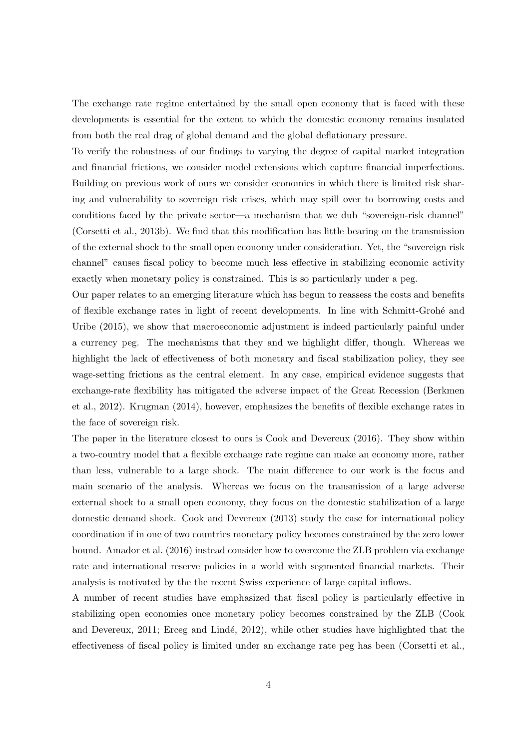The exchange rate regime entertained by the small open economy that is faced with these developments is essential for the extent to which the domestic economy remains insulated from both the real drag of global demand and the global deflationary pressure.

To verify the robustness of our findings to varying the degree of capital market integration and financial frictions, we consider model extensions which capture financial imperfections. Building on previous work of ours we consider economies in which there is limited risk sharing and vulnerability to sovereign risk crises, which may spill over to borrowing costs and conditions faced by the private sector—a mechanism that we dub "sovereign-risk channel" (Corsetti et al., 2013b). We find that this modification has little bearing on the transmission of the external shock to the small open economy under consideration. Yet, the "sovereign risk channel" causes fiscal policy to become much less effective in stabilizing economic activity exactly when monetary policy is constrained. This is so particularly under a peg.

Our paper relates to an emerging literature which has begun to reassess the costs and benefits of flexible exchange rates in light of recent developments. In line with Schmitt-Groh´e and Uribe (2015), we show that macroeconomic adjustment is indeed particularly painful under a currency peg. The mechanisms that they and we highlight differ, though. Whereas we highlight the lack of effectiveness of both monetary and fiscal stabilization policy, they see wage-setting frictions as the central element. In any case, empirical evidence suggests that exchange-rate flexibility has mitigated the adverse impact of the Great Recession (Berkmen et al., 2012). Krugman (2014), however, emphasizes the benefits of flexible exchange rates in the face of sovereign risk.

The paper in the literature closest to ours is Cook and Devereux (2016). They show within a two-country model that a flexible exchange rate regime can make an economy more, rather than less, vulnerable to a large shock. The main difference to our work is the focus and main scenario of the analysis. Whereas we focus on the transmission of a large adverse external shock to a small open economy, they focus on the domestic stabilization of a large domestic demand shock. Cook and Devereux (2013) study the case for international policy coordination if in one of two countries monetary policy becomes constrained by the zero lower bound. Amador et al. (2016) instead consider how to overcome the ZLB problem via exchange rate and international reserve policies in a world with segmented financial markets. Their analysis is motivated by the the recent Swiss experience of large capital inflows.

A number of recent studies have emphasized that fiscal policy is particularly effective in stabilizing open economies once monetary policy becomes constrained by the ZLB (Cook and Devereux, 2011; Erceg and Lindé, 2012), while other studies have highlighted that the effectiveness of fiscal policy is limited under an exchange rate peg has been (Corsetti et al.,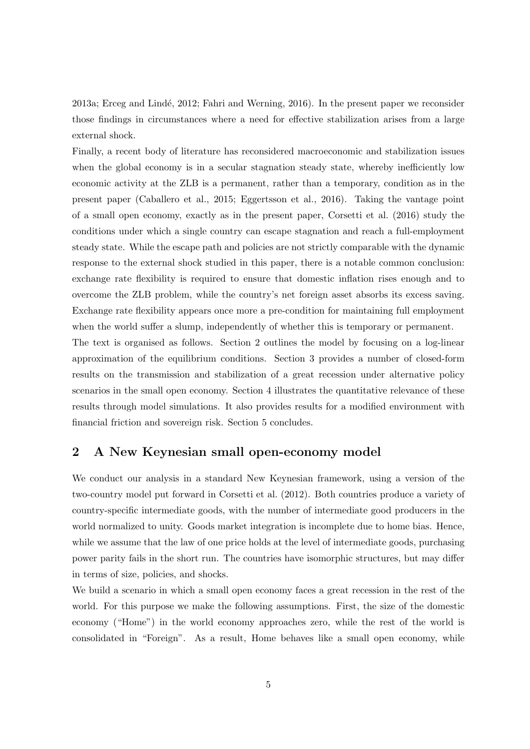2013a; Erceg and Lindé, 2012; Fahri and Werning, 2016). In the present paper we reconsider those findings in circumstances where a need for effective stabilization arises from a large external shock.

Finally, a recent body of literature has reconsidered macroeconomic and stabilization issues when the global economy is in a secular stagnation steady state, whereby inefficiently low economic activity at the ZLB is a permanent, rather than a temporary, condition as in the present paper (Caballero et al., 2015; Eggertsson et al., 2016). Taking the vantage point of a small open economy, exactly as in the present paper, Corsetti et al. (2016) study the conditions under which a single country can escape stagnation and reach a full-employment steady state. While the escape path and policies are not strictly comparable with the dynamic response to the external shock studied in this paper, there is a notable common conclusion: exchange rate flexibility is required to ensure that domestic inflation rises enough and to overcome the ZLB problem, while the country's net foreign asset absorbs its excess saving. Exchange rate flexibility appears once more a pre-condition for maintaining full employment when the world suffer a slump, independently of whether this is temporary or permanent.

The text is organised as follows. Section 2 outlines the model by focusing on a log-linear approximation of the equilibrium conditions. Section 3 provides a number of closed-form results on the transmission and stabilization of a great recession under alternative policy scenarios in the small open economy. Section 4 illustrates the quantitative relevance of these results through model simulations. It also provides results for a modified environment with financial friction and sovereign risk. Section 5 concludes.

## 2 A New Keynesian small open-economy model

We conduct our analysis in a standard New Keynesian framework, using a version of the two-country model put forward in Corsetti et al. (2012). Both countries produce a variety of country-specific intermediate goods, with the number of intermediate good producers in the world normalized to unity. Goods market integration is incomplete due to home bias. Hence, while we assume that the law of one price holds at the level of intermediate goods, purchasing power parity fails in the short run. The countries have isomorphic structures, but may differ in terms of size, policies, and shocks.

We build a scenario in which a small open economy faces a great recession in the rest of the world. For this purpose we make the following assumptions. First, the size of the domestic economy ("Home") in the world economy approaches zero, while the rest of the world is consolidated in "Foreign". As a result, Home behaves like a small open economy, while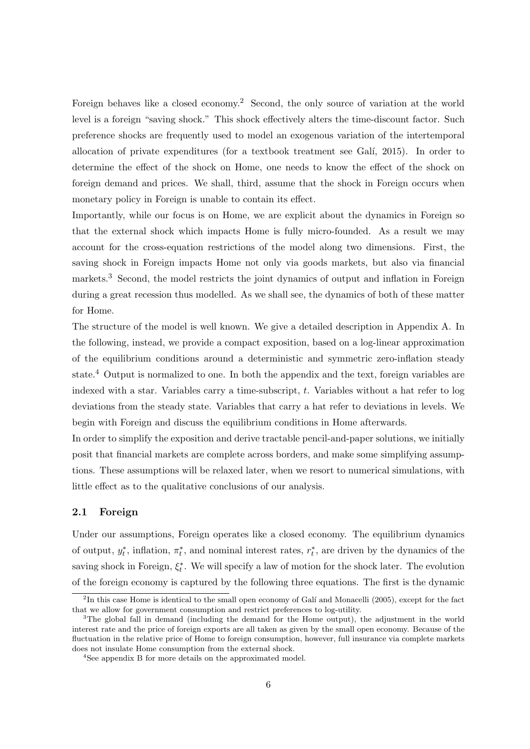Foreign behaves like a closed economy.<sup>2</sup> Second, the only source of variation at the world level is a foreign "saving shock." This shock effectively alters the time-discount factor. Such preference shocks are frequently used to model an exogenous variation of the intertemporal allocation of private expenditures (for a textbook treatment see Gal´ı, 2015). In order to determine the effect of the shock on Home, one needs to know the effect of the shock on foreign demand and prices. We shall, third, assume that the shock in Foreign occurs when monetary policy in Foreign is unable to contain its effect.

Importantly, while our focus is on Home, we are explicit about the dynamics in Foreign so that the external shock which impacts Home is fully micro-founded. As a result we may account for the cross-equation restrictions of the model along two dimensions. First, the saving shock in Foreign impacts Home not only via goods markets, but also via financial markets.<sup>3</sup> Second, the model restricts the joint dynamics of output and inflation in Foreign during a great recession thus modelled. As we shall see, the dynamics of both of these matter for Home.

The structure of the model is well known. We give a detailed description in Appendix A. In the following, instead, we provide a compact exposition, based on a log-linear approximation of the equilibrium conditions around a deterministic and symmetric zero-inflation steady state.<sup>4</sup> Output is normalized to one. In both the appendix and the text, foreign variables are indexed with a star. Variables carry a time-subscript,  $t$ . Variables without a hat refer to  $log$ deviations from the steady state. Variables that carry a hat refer to deviations in levels. We begin with Foreign and discuss the equilibrium conditions in Home afterwards.

In order to simplify the exposition and derive tractable pencil-and-paper solutions, we initially posit that financial markets are complete across borders, and make some simplifying assumptions. These assumptions will be relaxed later, when we resort to numerical simulations, with little effect as to the qualitative conclusions of our analysis.

#### 2.1 Foreign

Under our assumptions, Foreign operates like a closed economy. The equilibrium dynamics of output,  $y_t^*$ , inflation,  $\pi_t^*$ , and nominal interest rates,  $r_t^*$ , are driven by the dynamics of the saving shock in Foreign,  $\xi_t^*$ . We will specify a law of motion for the shock later. The evolution of the foreign economy is captured by the following three equations. The first is the dynamic

 ${}^{2}$ In this case Home is identical to the small open economy of Galí and Monacelli (2005), except for the fact that we allow for government consumption and restrict preferences to log-utility.

<sup>&</sup>lt;sup>3</sup>The global fall in demand (including the demand for the Home output), the adjustment in the world interest rate and the price of foreign exports are all taken as given by the small open economy. Because of the fluctuation in the relative price of Home to foreign consumption, however, full insurance via complete markets does not insulate Home consumption from the external shock.

<sup>4</sup>See appendix B for more details on the approximated model.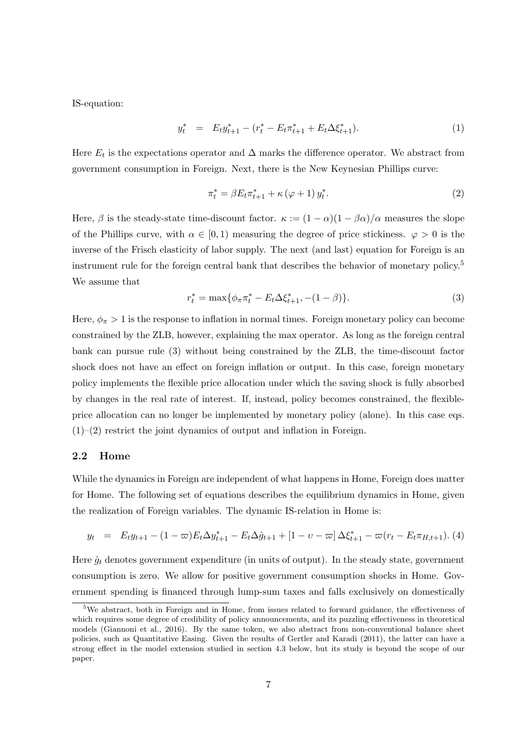IS-equation:

$$
y_t^* = E_t y_{t+1}^* - (r_t^* - E_t \pi_{t+1}^* + E_t \Delta \xi_{t+1}^*). \tag{1}
$$

Here  $E_t$  is the expectations operator and  $\Delta$  marks the difference operator. We abstract from government consumption in Foreign. Next, there is the New Keynesian Phillips curve:

$$
\pi_t^* = \beta E_t \pi_{t+1}^* + \kappa (\varphi + 1) y_t^*.
$$
 (2)

Here,  $\beta$  is the steady-state time-discount factor.  $\kappa := (1 - \alpha)(1 - \beta \alpha)/\alpha$  measures the slope of the Phillips curve, with  $\alpha \in [0, 1)$  measuring the degree of price stickiness.  $\varphi > 0$  is the inverse of the Frisch elasticity of labor supply. The next (and last) equation for Foreign is an instrument rule for the foreign central bank that describes the behavior of monetary policy.<sup>5</sup> We assume that

$$
r_t^* = \max\{\phi_\pi \pi_t^* - E_t \Delta \xi_{t+1}^*, -(1 - \beta)\}.
$$
\n(3)

Here,  $\phi_{\pi} > 1$  is the response to inflation in normal times. Foreign monetary policy can become constrained by the ZLB, however, explaining the max operator. As long as the foreign central bank can pursue rule (3) without being constrained by the ZLB, the time-discount factor shock does not have an effect on foreign inflation or output. In this case, foreign monetary policy implements the flexible price allocation under which the saving shock is fully absorbed by changes in the real rate of interest. If, instead, policy becomes constrained, the flexibleprice allocation can no longer be implemented by monetary policy (alone). In this case eqs.  $(1)$ – $(2)$  restrict the joint dynamics of output and inflation in Foreign.

#### 2.2 Home

While the dynamics in Foreign are independent of what happens in Home, Foreign does matter for Home. The following set of equations describes the equilibrium dynamics in Home, given the realization of Foreign variables. The dynamic IS-relation in Home is:

$$
y_t = E_t y_{t+1} - (1 - \varpi) E_t \Delta y_{t+1}^* - E_t \Delta \hat{g}_{t+1} + [1 - \upsilon - \varpi] \Delta \xi_{t+1}^* - \varpi (r_t - E_t \pi_{H, t+1}). \tag{4}
$$

Here  $\hat{g}_t$  denotes government expenditure (in units of output). In the steady state, government consumption is zero. We allow for positive government consumption shocks in Home. Government spending is financed through lump-sum taxes and falls exclusively on domestically

<sup>&</sup>lt;sup>5</sup>We abstract, both in Foreign and in Home, from issues related to forward guidance, the effectiveness of which requires some degree of credibility of policy announcements, and its puzzling effectiveness in theoretical models (Giannoni et al., 2016). By the same token, we also abstract from non-conventional balance sheet policies, such as Quantitative Easing. Given the results of Gertler and Karadi (2011), the latter can have a strong effect in the model extension studied in section 4.3 below, but its study is beyond the scope of our paper.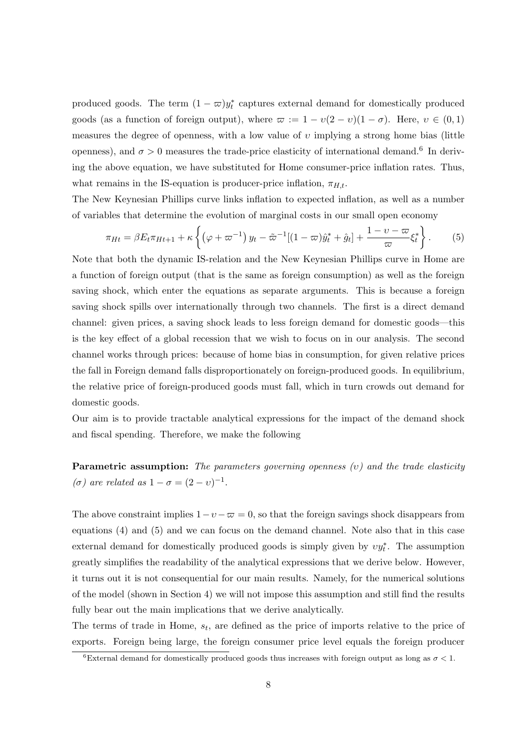produced goods. The term  $(1 - \varpi)y_t^*$  captures external demand for domestically produced goods (as a function of foreign output), where  $\varpi := 1 - v(2 - v)(1 - \sigma)$ . Here,  $v \in (0, 1)$ measures the degree of openness, with a low value of  $v$  implying a strong home bias (little openness), and  $\sigma > 0$  measures the trade-price elasticity of international demand.<sup>6</sup> In deriving the above equation, we have substituted for Home consumer-price inflation rates. Thus, what remains in the IS-equation is producer-price inflation,  $\pi_{H,t}$ .

The New Keynesian Phillips curve links inflation to expected inflation, as well as a number of variables that determine the evolution of marginal costs in our small open economy

$$
\pi_{Ht} = \beta E_t \pi_{Ht+1} + \kappa \left\{ \left( \varphi + \varpi^{-1} \right) y_t - \tilde{\varpi}^{-1} [(1-\varpi) \hat{y}_t^* + \hat{g}_t] + \frac{1-\nu-\varpi}{\varpi} \xi_t^* \right\}.
$$
 (5)

Note that both the dynamic IS-relation and the New Keynesian Phillips curve in Home are a function of foreign output (that is the same as foreign consumption) as well as the foreign saving shock, which enter the equations as separate arguments. This is because a foreign saving shock spills over internationally through two channels. The first is a direct demand channel: given prices, a saving shock leads to less foreign demand for domestic goods—this is the key effect of a global recession that we wish to focus on in our analysis. The second channel works through prices: because of home bias in consumption, for given relative prices the fall in Foreign demand falls disproportionately on foreign-produced goods. In equilibrium, the relative price of foreign-produced goods must fall, which in turn crowds out demand for domestic goods.

Our aim is to provide tractable analytical expressions for the impact of the demand shock and fiscal spending. Therefore, we make the following

**Parametric assumption:** The parameters governing openness  $(v)$  and the trade elasticity ( $\sigma$ ) are related as  $1 - \sigma = (2 - v)^{-1}$ .

The above constraint implies  $1-v-\overline{\omega} = 0$ , so that the foreign savings shock disappears from equations (4) and (5) and we can focus on the demand channel. Note also that in this case external demand for domestically produced goods is simply given by  $vy_t^*$ . The assumption greatly simplifies the readability of the analytical expressions that we derive below. However, it turns out it is not consequential for our main results. Namely, for the numerical solutions of the model (shown in Section 4) we will not impose this assumption and still find the results fully bear out the main implications that we derive analytically.

The terms of trade in Home,  $s_t$ , are defined as the price of imports relative to the price of exports. Foreign being large, the foreign consumer price level equals the foreign producer

<sup>&</sup>lt;sup>6</sup>External demand for domestically produced goods thus increases with foreign output as long as  $\sigma < 1$ .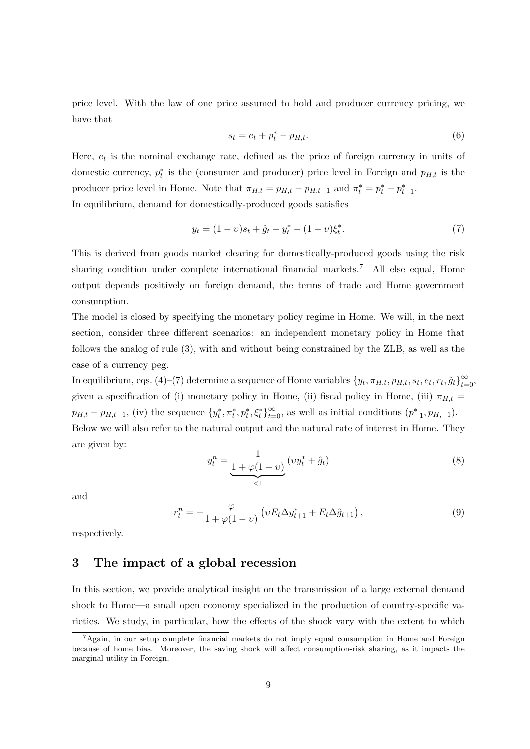price level. With the law of one price assumed to hold and producer currency pricing, we have that

$$
s_t = e_t + p_t^* - p_{H,t}.\tag{6}
$$

Here,  $e_t$  is the nominal exchange rate, defined as the price of foreign currency in units of domestic currency,  $p_t^*$  is the (consumer and producer) price level in Foreign and  $p_{H,t}$  is the producer price level in Home. Note that  $\pi_{H,t} = p_{H,t} - p_{H,t-1}$  and  $\pi_t^* = p_t^* - p_{t-1}^*$ . In equilibrium, demand for domestically-produced goods satisfies

$$
y_t = (1 - v)s_t + \hat{g}_t + y_t^* - (1 - v)\xi_t^*.
$$
\n<sup>(7)</sup>

This is derived from goods market clearing for domestically-produced goods using the risk sharing condition under complete international financial markets.<sup>7</sup> All else equal, Home output depends positively on foreign demand, the terms of trade and Home government consumption.

The model is closed by specifying the monetary policy regime in Home. We will, in the next section, consider three different scenarios: an independent monetary policy in Home that follows the analog of rule (3), with and without being constrained by the ZLB, as well as the case of a currency peg.

In equilibrium, eqs. (4)–(7) determine a sequence of Home variables  $\{y_t, \pi_{H,t}, p_{H,t}, s_t, e_t, r_t, \hat{g}_t\}_{t=0}^{\infty}$ given a specification of (i) monetary policy in Home, (ii) fiscal policy in Home, (iii)  $\pi_{H,t}$  =  $p_{H,t} - p_{H,t-1}$ , (iv) the sequence  $\{y_t^*, \pi_t^*, p_t^*, \xi_t^*\}_{t=0}^{\infty}$ , as well as initial conditions  $(p_{-1}^*, p_{H,-1})$ . Below we will also refer to the natural output and the natural rate of interest in Home. They are given by:

$$
y_t^n = \underbrace{\frac{1}{1 + \varphi(1 - v)}}_{< 1} (vy_t^* + \hat{g}_t) \tag{8}
$$

and

$$
r_t^n = -\frac{\varphi}{1 + \varphi(1 - v)} \left( v E_t \Delta y_{t+1}^* + E_t \Delta \hat{g}_{t+1} \right), \tag{9}
$$

respectively.

## 3 The impact of a global recession

In this section, we provide analytical insight on the transmission of a large external demand shock to Home—a small open economy specialized in the production of country-specific varieties. We study, in particular, how the effects of the shock vary with the extent to which

 ${}^{7}$ Again, in our setup complete financial markets do not imply equal consumption in Home and Foreign because of home bias. Moreover, the saving shock will affect consumption-risk sharing, as it impacts the marginal utility in Foreign.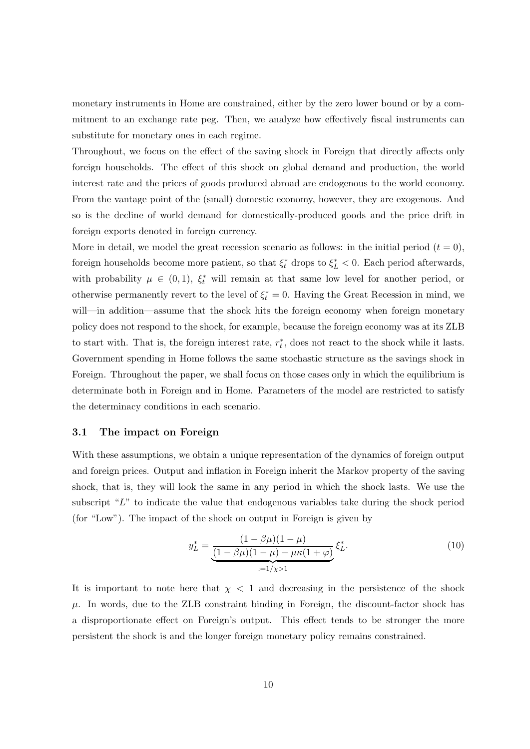monetary instruments in Home are constrained, either by the zero lower bound or by a commitment to an exchange rate peg. Then, we analyze how effectively fiscal instruments can substitute for monetary ones in each regime.

Throughout, we focus on the effect of the saving shock in Foreign that directly affects only foreign households. The effect of this shock on global demand and production, the world interest rate and the prices of goods produced abroad are endogenous to the world economy. From the vantage point of the (small) domestic economy, however, they are exogenous. And so is the decline of world demand for domestically-produced goods and the price drift in foreign exports denoted in foreign currency.

More in detail, we model the great recession scenario as follows: in the initial period  $(t = 0)$ , foreign households become more patient, so that  $\xi_t^*$  drops to  $\xi_L^* < 0$ . Each period afterwards, with probability  $\mu \in (0,1)$ ,  $\xi_t^*$  will remain at that same low level for another period, or otherwise permanently revert to the level of  $\xi_t^* = 0$ . Having the Great Recession in mind, we will—in addition—assume that the shock hits the foreign economy when foreign monetary policy does not respond to the shock, for example, because the foreign economy was at its ZLB to start with. That is, the foreign interest rate,  $r_t^*$ , does not react to the shock while it lasts. Government spending in Home follows the same stochastic structure as the savings shock in Foreign. Throughout the paper, we shall focus on those cases only in which the equilibrium is determinate both in Foreign and in Home. Parameters of the model are restricted to satisfy the determinacy conditions in each scenario.

#### 3.1 The impact on Foreign

With these assumptions, we obtain a unique representation of the dynamics of foreign output and foreign prices. Output and inflation in Foreign inherit the Markov property of the saving shock, that is, they will look the same in any period in which the shock lasts. We use the subscript " $L$ " to indicate the value that endogenous variables take during the shock period (for "Low"). The impact of the shock on output in Foreign is given by

$$
y_L^* = \underbrace{\frac{(1 - \beta \mu)(1 - \mu)}{(1 - \beta \mu)(1 - \mu) - \mu \kappa(1 + \varphi)}}_{:=1/\chi > 1} \xi_L^*.
$$
\n(10)

It is important to note here that  $\chi$  < 1 and decreasing in the persistence of the shock  $\mu$ . In words, due to the ZLB constraint binding in Foreign, the discount-factor shock has a disproportionate effect on Foreign's output. This effect tends to be stronger the more persistent the shock is and the longer foreign monetary policy remains constrained.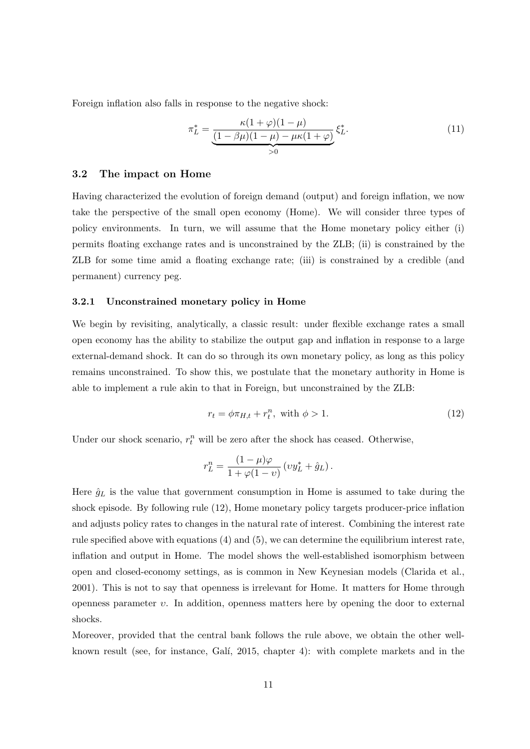Foreign inflation also falls in response to the negative shock:

$$
\pi_L^* = \underbrace{\frac{\kappa(1+\varphi)(1-\mu)}{(1-\beta\mu)(1-\mu) - \mu\kappa(1+\varphi)}}_{>0} \xi_L^*.
$$
\n(11)

#### 3.2 The impact on Home

Having characterized the evolution of foreign demand (output) and foreign inflation, we now take the perspective of the small open economy (Home). We will consider three types of policy environments. In turn, we will assume that the Home monetary policy either (i) permits floating exchange rates and is unconstrained by the ZLB; (ii) is constrained by the ZLB for some time amid a floating exchange rate; (iii) is constrained by a credible (and permanent) currency peg.

#### 3.2.1 Unconstrained monetary policy in Home

We begin by revisiting, analytically, a classic result: under flexible exchange rates a small open economy has the ability to stabilize the output gap and inflation in response to a large external-demand shock. It can do so through its own monetary policy, as long as this policy remains unconstrained. To show this, we postulate that the monetary authority in Home is able to implement a rule akin to that in Foreign, but unconstrained by the ZLB:

$$
r_t = \phi \pi_{H,t} + r_t^n, \text{ with } \phi > 1. \tag{12}
$$

Under our shock scenario,  $r_t^n$  will be zero after the shock has ceased. Otherwise,

$$
r_L^n = \frac{(1-\mu)\varphi}{1+\varphi(1-\upsilon)} \left(v y_L^* + \hat{g}_L\right).
$$

Here  $\hat{g}_L$  is the value that government consumption in Home is assumed to take during the shock episode. By following rule (12), Home monetary policy targets producer-price inflation and adjusts policy rates to changes in the natural rate of interest. Combining the interest rate rule specified above with equations (4) and (5), we can determine the equilibrium interest rate, inflation and output in Home. The model shows the well-established isomorphism between open and closed-economy settings, as is common in New Keynesian models (Clarida et al., 2001). This is not to say that openness is irrelevant for Home. It matters for Home through openness parameter  $v$ . In addition, openness matters here by opening the door to external shocks.

Moreover, provided that the central bank follows the rule above, we obtain the other wellknown result (see, for instance, Gali, 2015, chapter 4): with complete markets and in the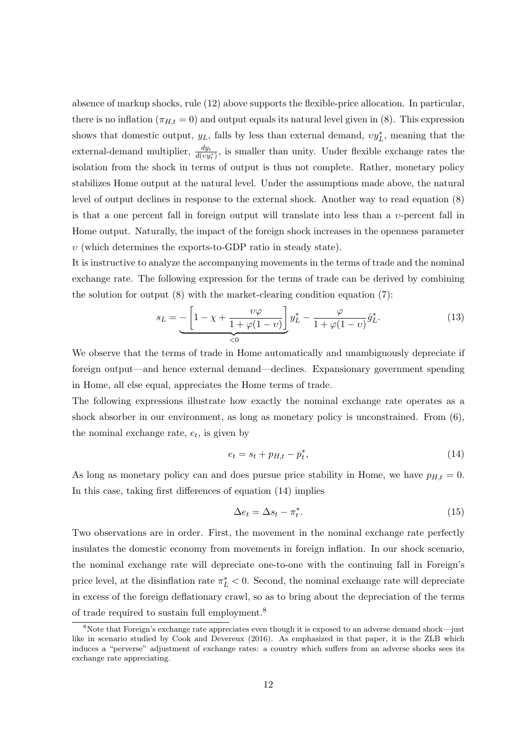absence of markup shocks, rule (12) above supports the flexible-price allocation. In particular, there is no inflation  $(\pi_{H,t} = 0)$  and output equals its natural level given in (8). This expression shows that domestic output,  $y_L$ , falls by less than external demand,  $vy_L^*$ , meaning that the external-demand multiplier,  $\frac{dy_t}{d(vy_t^*)}$ , is smaller than unity. Under flexible exchange rates the isolation from the shock in terms of output is thus not complete. Rather, monetary policy stabilizes Home output at the natural level. Under the assumptions made above, the natural level of output declines in response to the external shock. Another way to read equation (8) is that a one percent fall in foreign output will translate into less than a  $v$ -percent fall in Home output. Naturally, the impact of the foreign shock increases in the openness parameter  $v$  (which determines the exports-to-GDP ratio in steady state).

It is instructive to analyze the accompanying movements in the terms of trade and the nominal exchange rate. The following expression for the terms of trade can be derived by combining the solution for output  $(8)$  with the market-clearing condition equation  $(7)$ :

$$
s_L = -\left[1 - \chi + \frac{\upsilon \varphi}{1 + \varphi(1 - \upsilon)}\right] y_L^* - \frac{\varphi}{1 + \varphi(1 - \upsilon)} \hat{g}_L^*.
$$
(13)

We observe that the terms of trade in Home automatically and unambiguously depreciate if foreign output—and hence external demand—declines. Expansionary government spending in Home, all else equal, appreciates the Home terms of trade.

The following expressions illustrate how exactly the nominal exchange rate operates as a shock absorber in our environment, as long as monetary policy is unconstrained. From (6), the nominal exchange rate,  $e_t$ , is given by

$$
e_t = s_t + p_{H,t} - p_t^*,\tag{14}
$$

As long as monetary policy can and does pursue price stability in Home, we have  $p_{H,t} = 0$ . In this case, taking first differences of equation (14) implies

$$
\Delta e_t = \Delta s_t - \pi_t^*.\tag{15}
$$

Two observations are in order. First, the movement in the nominal exchange rate perfectly insulates the domestic economy from movements in foreign inflation. In our shock scenario, the nominal exchange rate will depreciate one-to-one with the continuing fall in Foreign's price level, at the disinflation rate  $\pi_L^* < 0$ . Second, the nominal exchange rate will depreciate in excess of the foreign deflationary crawl, so as to bring about the depreciation of the terms of trade required to sustain full employment.<sup>8</sup>

<sup>8</sup>Note that Foreign's exchange rate appreciates even though it is exposed to an adverse demand shock—just like in scenario studied by Cook and Devereux (2016). As emphasized in that paper, it is the ZLB which induces a "perverse" adjustment of exchange rates: a country which suffers from an adverse shocks sees its exchange rate appreciating.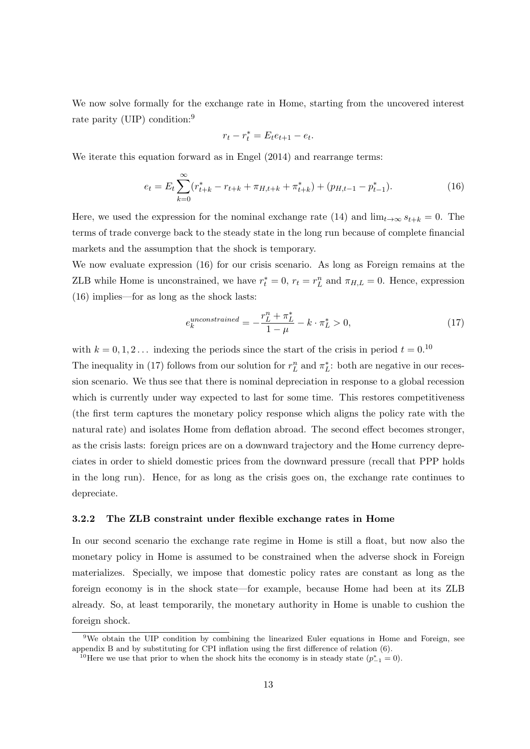We now solve formally for the exchange rate in Home, starting from the uncovered interest rate parity (UIP) condition:<sup>9</sup>

$$
r_t - r_t^* = E_t e_{t+1} - e_t.
$$

We iterate this equation forward as in Engel (2014) and rearrange terms:

$$
e_t = E_t \sum_{k=0}^{\infty} (r_{t+k}^* - r_{t+k} + \pi_{H,t+k} + \pi_{t+k}^*) + (p_{H,t-1} - p_{t-1}^*).
$$
 (16)

Here, we used the expression for the nominal exchange rate (14) and  $\lim_{t\to\infty} s_{t+k} = 0$ . The terms of trade converge back to the steady state in the long run because of complete financial markets and the assumption that the shock is temporary.

We now evaluate expression (16) for our crisis scenario. As long as Foreign remains at the ZLB while Home is unconstrained, we have  $r_t^* = 0$ ,  $r_t = r_L^n$  and  $\pi_{H,L} = 0$ . Hence, expression (16) implies—for as long as the shock lasts:

$$
e_k^{unconstrained} = -\frac{r_L^n + \pi_L^*}{1 - \mu} - k \cdot \pi_L^* > 0,\tag{17}
$$

with  $k = 0, 1, 2...$  indexing the periods since the start of the crisis in period  $t = 0.10$ 

The inequality in (17) follows from our solution for  $r_L^n$  and  $\pi_L^*$ : both are negative in our recession scenario. We thus see that there is nominal depreciation in response to a global recession which is currently under way expected to last for some time. This restores competitiveness (the first term captures the monetary policy response which aligns the policy rate with the natural rate) and isolates Home from deflation abroad. The second effect becomes stronger, as the crisis lasts: foreign prices are on a downward trajectory and the Home currency depreciates in order to shield domestic prices from the downward pressure (recall that PPP holds in the long run). Hence, for as long as the crisis goes on, the exchange rate continues to depreciate.

#### 3.2.2 The ZLB constraint under flexible exchange rates in Home

In our second scenario the exchange rate regime in Home is still a float, but now also the monetary policy in Home is assumed to be constrained when the adverse shock in Foreign materializes. Specially, we impose that domestic policy rates are constant as long as the foreign economy is in the shock state—for example, because Home had been at its ZLB already. So, at least temporarily, the monetary authority in Home is unable to cushion the foreign shock.

<sup>&</sup>lt;sup>9</sup>We obtain the UIP condition by combining the linearized Euler equations in Home and Foreign, see appendix B and by substituting for CPI inflation using the first difference of relation (6).

<sup>&</sup>lt;sup>10</sup>Here we use that prior to when the shock hits the economy is in steady state  $(p_{-1}^* = 0)$ .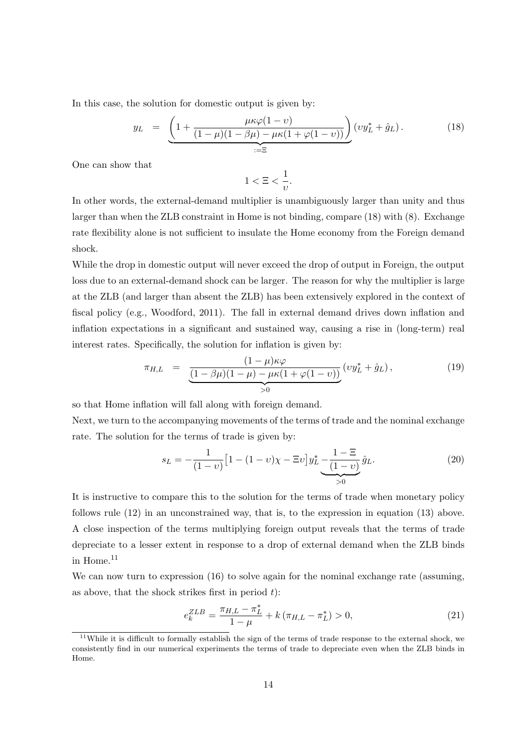In this case, the solution for domestic output is given by:

$$
y_L = \underbrace{\left(1 + \frac{\mu \kappa \varphi (1 - v)}{(1 - \mu)(1 - \beta \mu) - \mu \kappa (1 + \varphi (1 - v))}\right)}_{:=\Xi} (vy_L^* + \hat{g}_L).
$$
 (18)

One can show that

$$
1 < \Xi < \frac{1}{v}.
$$

In other words, the external-demand multiplier is unambiguously larger than unity and thus larger than when the ZLB constraint in Home is not binding, compare (18) with (8). Exchange rate flexibility alone is not sufficient to insulate the Home economy from the Foreign demand shock.

While the drop in domestic output will never exceed the drop of output in Foreign, the output loss due to an external-demand shock can be larger. The reason for why the multiplier is large at the ZLB (and larger than absent the ZLB) has been extensively explored in the context of fiscal policy (e.g., Woodford, 2011). The fall in external demand drives down inflation and inflation expectations in a significant and sustained way, causing a rise in (long-term) real interest rates. Specifically, the solution for inflation is given by:

$$
\pi_{H,L} = \frac{(1-\mu)\kappa\varphi}{\underbrace{(1-\beta\mu)(1-\mu) - \mu\kappa(1+\varphi(1-\nu))}_{>0}} (vy_L^* + \hat{g}_L), \tag{19}
$$

so that Home inflation will fall along with foreign demand.

Next, we turn to the accompanying movements of the terms of trade and the nominal exchange rate. The solution for the terms of trade is given by:

$$
s_L = -\frac{1}{(1-v)} \left[ 1 - (1-v)\chi - \Xi v \right] y_L^* - \underbrace{\frac{1-\Xi}{(1-v)}}_{>0} \hat{g}_L. \tag{20}
$$

It is instructive to compare this to the solution for the terms of trade when monetary policy follows rule (12) in an unconstrained way, that is, to the expression in equation (13) above. A close inspection of the terms multiplying foreign output reveals that the terms of trade depreciate to a lesser extent in response to a drop of external demand when the ZLB binds in Home.<sup>11</sup>

We can now turn to expression (16) to solve again for the nominal exchange rate (assuming, as above, that the shock strikes first in period  $t$ :

$$
e_k^{ZLB} = \frac{\pi_{H,L} - \pi_L^*}{1 - \mu} + k(\pi_{H,L} - \pi_L^*) > 0,
$$
\n(21)

<sup>&</sup>lt;sup>11</sup>While it is difficult to formally establish the sign of the terms of trade response to the external shock, we consistently find in our numerical experiments the terms of trade to depreciate even when the ZLB binds in Home.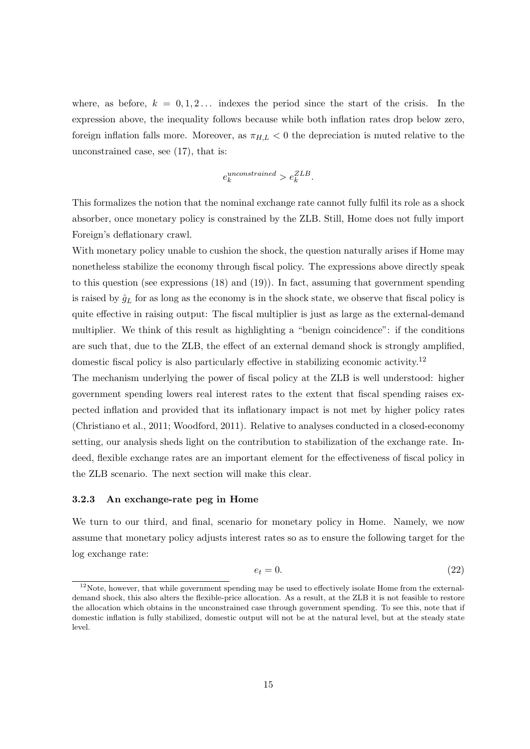where, as before,  $k = 0, 1, 2, \ldots$  indexes the period since the start of the crisis. In the expression above, the inequality follows because while both inflation rates drop below zero, foreign inflation falls more. Moreover, as  $\pi_{H,L} < 0$  the depreciation is muted relative to the unconstrained case, see (17), that is:

$$
e_k^{unconstrained} > e_k^{ZLB}.
$$

This formalizes the notion that the nominal exchange rate cannot fully fulfil its role as a shock absorber, once monetary policy is constrained by the ZLB. Still, Home does not fully import Foreign's deflationary crawl.

With monetary policy unable to cushion the shock, the question naturally arises if Home may nonetheless stabilize the economy through fiscal policy. The expressions above directly speak to this question (see expressions (18) and (19)). In fact, assuming that government spending is raised by  $\hat{g}_L$  for as long as the economy is in the shock state, we observe that fiscal policy is quite effective in raising output: The fiscal multiplier is just as large as the external-demand multiplier. We think of this result as highlighting a "benign coincidence": if the conditions are such that, due to the ZLB, the effect of an external demand shock is strongly amplified, domestic fiscal policy is also particularly effective in stabilizing economic activity.<sup>12</sup>

The mechanism underlying the power of fiscal policy at the ZLB is well understood: higher government spending lowers real interest rates to the extent that fiscal spending raises expected inflation and provided that its inflationary impact is not met by higher policy rates (Christiano et al., 2011; Woodford, 2011). Relative to analyses conducted in a closed-economy setting, our analysis sheds light on the contribution to stabilization of the exchange rate. Indeed, flexible exchange rates are an important element for the effectiveness of fiscal policy in the ZLB scenario. The next section will make this clear.

#### 3.2.3 An exchange-rate peg in Home

We turn to our third, and final, scenario for monetary policy in Home. Namely, we now assume that monetary policy adjusts interest rates so as to ensure the following target for the log exchange rate:

$$
e_t = 0.\t\t(22)
$$

<sup>&</sup>lt;sup>12</sup>Note, however, that while government spending may be used to effectively isolate Home from the externaldemand shock, this also alters the flexible-price allocation. As a result, at the ZLB it is not feasible to restore the allocation which obtains in the unconstrained case through government spending. To see this, note that if domestic inflation is fully stabilized, domestic output will not be at the natural level, but at the steady state level.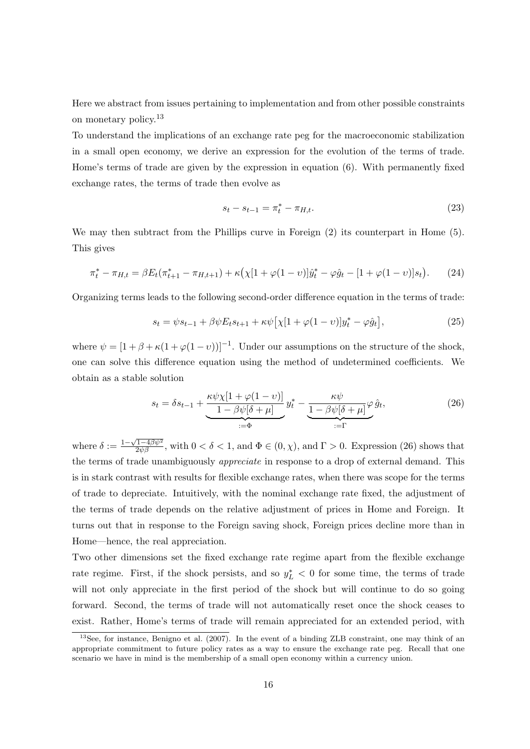Here we abstract from issues pertaining to implementation and from other possible constraints on monetary policy.<sup>13</sup>

To understand the implications of an exchange rate peg for the macroeconomic stabilization in a small open economy, we derive an expression for the evolution of the terms of trade. Home's terms of trade are given by the expression in equation (6). With permanently fixed exchange rates, the terms of trade then evolve as

$$
s_t - s_{t-1} = \pi_t^* - \pi_{H,t}.\tag{23}
$$

We may then subtract from the Phillips curve in Foreign  $(2)$  its counterpart in Home  $(5)$ . This gives

$$
\pi_t^* - \pi_{H,t} = \beta E_t (\pi_{t+1}^* - \pi_{H,t+1}) + \kappa \left( \chi [1 + \varphi (1 - \upsilon)] \hat{y}_t^* - \varphi \hat{g}_t - [1 + \varphi (1 - \upsilon)] s_t \right). \tag{24}
$$

Organizing terms leads to the following second-order difference equation in the terms of trade:

$$
s_t = \psi s_{t-1} + \beta \psi E_t s_{t+1} + \kappa \psi [\chi [1 + \varphi (1 - v)] y_t^* - \varphi \hat{g}_t],
$$
\n(25)

where  $\psi = [1 + \beta + \kappa(1 + \varphi(1 - \nu))]^{-1}$ . Under our assumptions on the structure of the shock, one can solve this difference equation using the method of undetermined coefficients. We obtain as a stable solution

$$
s_t = \delta s_{t-1} + \underbrace{\frac{\kappa \psi \chi [1 + \varphi (1 - v)]}{1 - \beta \psi [\delta + \mu]}}_{:=\Phi} y_t^* - \underbrace{\frac{\kappa \psi}{1 - \beta \psi [\delta + \mu]} \varphi \hat{g}_t}_{:=\Gamma},\tag{26}
$$

where  $\delta := \frac{1-\sqrt{1-4\beta\psi^2}}{2\psi\beta}$ , with  $0 < \delta < 1$ , and  $\Phi \in (0, \chi)$ , and  $\Gamma > 0$ . Expression (26) shows that the terms of trade unambiguously appreciate in response to a drop of external demand. This is in stark contrast with results for flexible exchange rates, when there was scope for the terms of trade to depreciate. Intuitively, with the nominal exchange rate fixed, the adjustment of the terms of trade depends on the relative adjustment of prices in Home and Foreign. It turns out that in response to the Foreign saving shock, Foreign prices decline more than in Home—hence, the real appreciation.

Two other dimensions set the fixed exchange rate regime apart from the flexible exchange rate regime. First, if the shock persists, and so  $y_L^* < 0$  for some time, the terms of trade will not only appreciate in the first period of the shock but will continue to do so going forward. Second, the terms of trade will not automatically reset once the shock ceases to exist. Rather, Home's terms of trade will remain appreciated for an extended period, with

<sup>&</sup>lt;sup>13</sup>See, for instance, Benigno et al. (2007). In the event of a binding ZLB constraint, one may think of an appropriate commitment to future policy rates as a way to ensure the exchange rate peg. Recall that one scenario we have in mind is the membership of a small open economy within a currency union.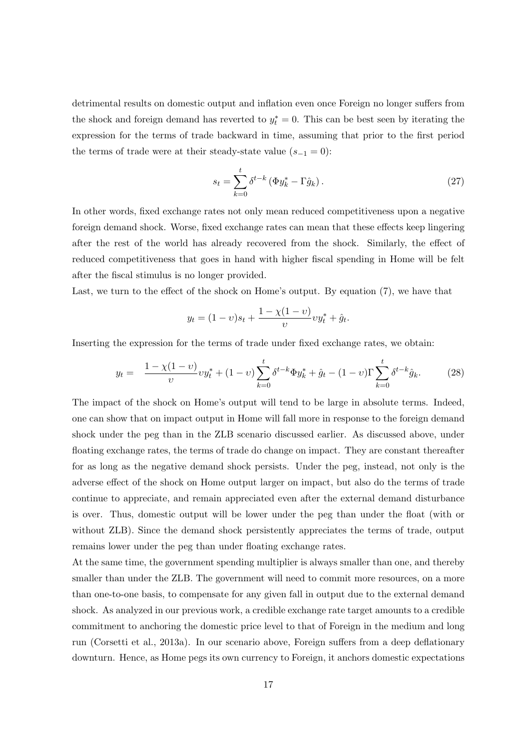detrimental results on domestic output and inflation even once Foreign no longer suffers from the shock and foreign demand has reverted to  $y_t^* = 0$ . This can be best seen by iterating the expression for the terms of trade backward in time, assuming that prior to the first period the terms of trade were at their steady-state value  $(s_{-1} = 0)$ :

$$
s_t = \sum_{k=0}^t \delta^{t-k} \left( \Phi y_k^* - \Gamma \hat{g}_k \right). \tag{27}
$$

In other words, fixed exchange rates not only mean reduced competitiveness upon a negative foreign demand shock. Worse, fixed exchange rates can mean that these effects keep lingering after the rest of the world has already recovered from the shock. Similarly, the effect of reduced competitiveness that goes in hand with higher fiscal spending in Home will be felt after the fiscal stimulus is no longer provided.

Last, we turn to the effect of the shock on Home's output. By equation (7), we have that

$$
y_t = (1 - v)s_t + \frac{1 - \chi(1 - v)}{v}vy_t^* + \hat{g}_t.
$$

Inserting the expression for the terms of trade under fixed exchange rates, we obtain:

$$
y_t = \frac{1 - \chi(1 - v)}{v} v y_t^* + (1 - v) \sum_{k=0}^t \delta^{t-k} \Phi y_k^* + \hat{g}_t - (1 - v) \Gamma \sum_{k=0}^t \delta^{t-k} \hat{g}_k.
$$
 (28)

The impact of the shock on Home's output will tend to be large in absolute terms. Indeed, one can show that on impact output in Home will fall more in response to the foreign demand shock under the peg than in the ZLB scenario discussed earlier. As discussed above, under floating exchange rates, the terms of trade do change on impact. They are constant thereafter for as long as the negative demand shock persists. Under the peg, instead, not only is the adverse effect of the shock on Home output larger on impact, but also do the terms of trade continue to appreciate, and remain appreciated even after the external demand disturbance is over. Thus, domestic output will be lower under the peg than under the float (with or without ZLB). Since the demand shock persistently appreciates the terms of trade, output remains lower under the peg than under floating exchange rates.

At the same time, the government spending multiplier is always smaller than one, and thereby smaller than under the ZLB. The government will need to commit more resources, on a more than one-to-one basis, to compensate for any given fall in output due to the external demand shock. As analyzed in our previous work, a credible exchange rate target amounts to a credible commitment to anchoring the domestic price level to that of Foreign in the medium and long run (Corsetti et al., 2013a). In our scenario above, Foreign suffers from a deep deflationary downturn. Hence, as Home pegs its own currency to Foreign, it anchors domestic expectations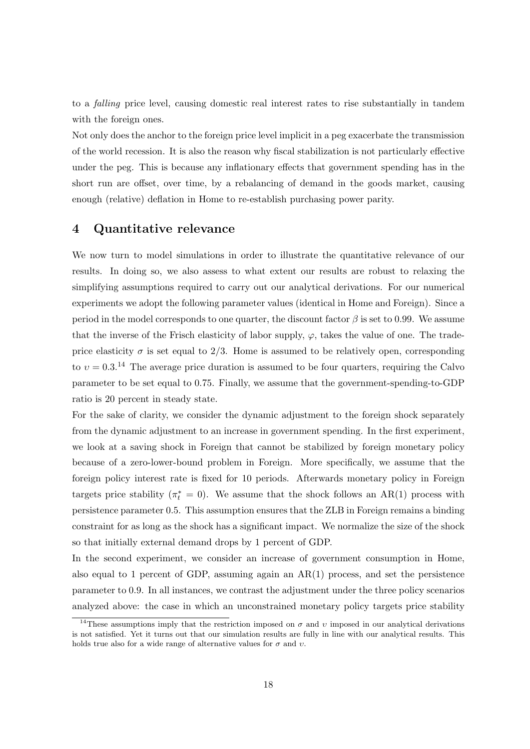to a falling price level, causing domestic real interest rates to rise substantially in tandem with the foreign ones.

Not only does the anchor to the foreign price level implicit in a peg exacerbate the transmission of the world recession. It is also the reason why fiscal stabilization is not particularly effective under the peg. This is because any inflationary effects that government spending has in the short run are offset, over time, by a rebalancing of demand in the goods market, causing enough (relative) deflation in Home to re-establish purchasing power parity.

## 4 Quantitative relevance

We now turn to model simulations in order to illustrate the quantitative relevance of our results. In doing so, we also assess to what extent our results are robust to relaxing the simplifying assumptions required to carry out our analytical derivations. For our numerical experiments we adopt the following parameter values (identical in Home and Foreign). Since a period in the model corresponds to one quarter, the discount factor  $\beta$  is set to 0.99. We assume that the inverse of the Frisch elasticity of labor supply,  $\varphi$ , takes the value of one. The tradeprice elasticity  $\sigma$  is set equal to 2/3. Home is assumed to be relatively open, corresponding to  $v = 0.3$ <sup>14</sup> The average price duration is assumed to be four quarters, requiring the Calvo parameter to be set equal to 0.75. Finally, we assume that the government-spending-to-GDP ratio is 20 percent in steady state.

For the sake of clarity, we consider the dynamic adjustment to the foreign shock separately from the dynamic adjustment to an increase in government spending. In the first experiment, we look at a saving shock in Foreign that cannot be stabilized by foreign monetary policy because of a zero-lower-bound problem in Foreign. More specifically, we assume that the foreign policy interest rate is fixed for 10 periods. Afterwards monetary policy in Foreign targets price stability  $(\pi_t^* = 0)$ . We assume that the shock follows an AR(1) process with persistence parameter 0.5. This assumption ensures that the ZLB in Foreign remains a binding constraint for as long as the shock has a significant impact. We normalize the size of the shock so that initially external demand drops by 1 percent of GDP.

In the second experiment, we consider an increase of government consumption in Home, also equal to 1 percent of GDP, assuming again an  $AR(1)$  process, and set the persistence parameter to 0.9. In all instances, we contrast the adjustment under the three policy scenarios analyzed above: the case in which an unconstrained monetary policy targets price stability

<sup>&</sup>lt;sup>14</sup>These assumptions imply that the restriction imposed on  $\sigma$  and v imposed in our analytical derivations is not satisfied. Yet it turns out that our simulation results are fully in line with our analytical results. This holds true also for a wide range of alternative values for  $\sigma$  and  $v$ .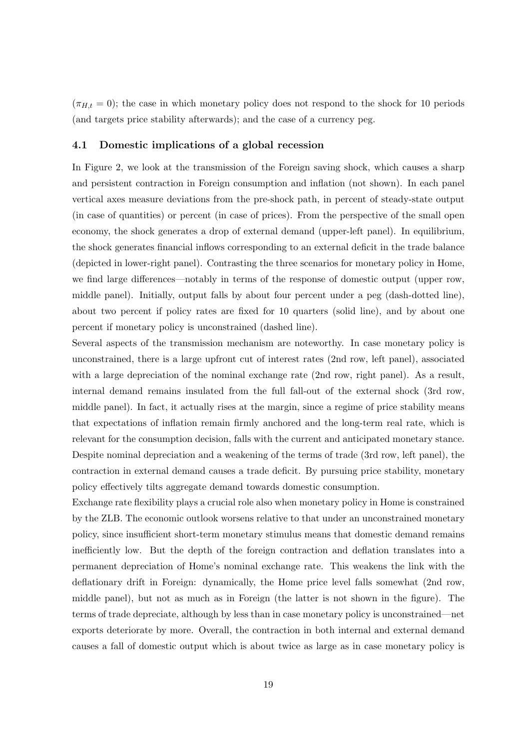$(\pi_{H,t} = 0)$ ; the case in which monetary policy does not respond to the shock for 10 periods (and targets price stability afterwards); and the case of a currency peg.

#### 4.1 Domestic implications of a global recession

In Figure 2, we look at the transmission of the Foreign saving shock, which causes a sharp and persistent contraction in Foreign consumption and inflation (not shown). In each panel vertical axes measure deviations from the pre-shock path, in percent of steady-state output (in case of quantities) or percent (in case of prices). From the perspective of the small open economy, the shock generates a drop of external demand (upper-left panel). In equilibrium, the shock generates financial inflows corresponding to an external deficit in the trade balance (depicted in lower-right panel). Contrasting the three scenarios for monetary policy in Home, we find large differences—notably in terms of the response of domestic output (upper row, middle panel). Initially, output falls by about four percent under a peg (dash-dotted line), about two percent if policy rates are fixed for 10 quarters (solid line), and by about one percent if monetary policy is unconstrained (dashed line).

Several aspects of the transmission mechanism are noteworthy. In case monetary policy is unconstrained, there is a large upfront cut of interest rates (2nd row, left panel), associated with a large depreciation of the nominal exchange rate (2nd row, right panel). As a result, internal demand remains insulated from the full fall-out of the external shock (3rd row, middle panel). In fact, it actually rises at the margin, since a regime of price stability means that expectations of inflation remain firmly anchored and the long-term real rate, which is relevant for the consumption decision, falls with the current and anticipated monetary stance. Despite nominal depreciation and a weakening of the terms of trade (3rd row, left panel), the contraction in external demand causes a trade deficit. By pursuing price stability, monetary policy effectively tilts aggregate demand towards domestic consumption.

Exchange rate flexibility plays a crucial role also when monetary policy in Home is constrained by the ZLB. The economic outlook worsens relative to that under an unconstrained monetary policy, since insufficient short-term monetary stimulus means that domestic demand remains inefficiently low. But the depth of the foreign contraction and deflation translates into a permanent depreciation of Home's nominal exchange rate. This weakens the link with the deflationary drift in Foreign: dynamically, the Home price level falls somewhat (2nd row, middle panel), but not as much as in Foreign (the latter is not shown in the figure). The terms of trade depreciate, although by less than in case monetary policy is unconstrained—net exports deteriorate by more. Overall, the contraction in both internal and external demand causes a fall of domestic output which is about twice as large as in case monetary policy is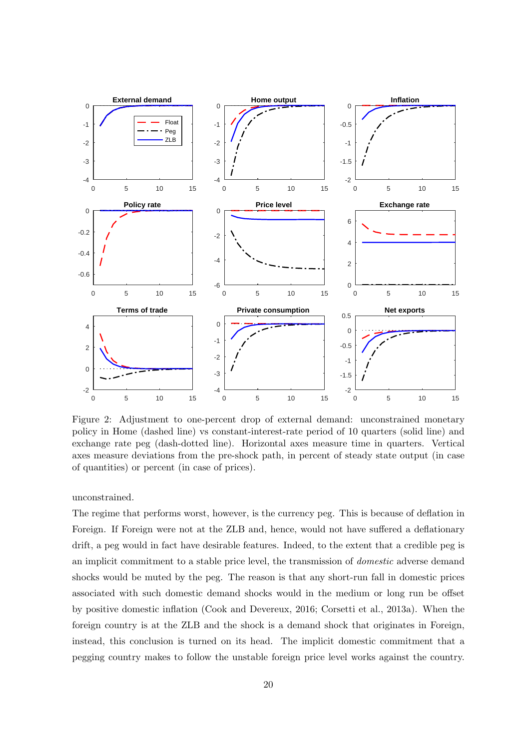

Figure 2: Adjustment to one-percent drop of external demand: unconstrained monetary policy in Home (dashed line) vs constant-interest-rate period of 10 quarters (solid line) and exchange rate peg (dash-dotted line). Horizontal axes measure time in quarters. Vertical axes measure deviations from the pre-shock path, in percent of steady state output (in case of quantities) or percent (in case of prices).

#### unconstrained.

The regime that performs worst, however, is the currency peg. This is because of deflation in Foreign. If Foreign were not at the ZLB and, hence, would not have suffered a deflationary drift, a peg would in fact have desirable features. Indeed, to the extent that a credible peg is an implicit commitment to a stable price level, the transmission of domestic adverse demand shocks would be muted by the peg. The reason is that any short-run fall in domestic prices associated with such domestic demand shocks would in the medium or long run be offset by positive domestic inflation (Cook and Devereux, 2016; Corsetti et al., 2013a). When the foreign country is at the ZLB and the shock is a demand shock that originates in Foreign, instead, this conclusion is turned on its head. The implicit domestic commitment that a pegging country makes to follow the unstable foreign price level works against the country.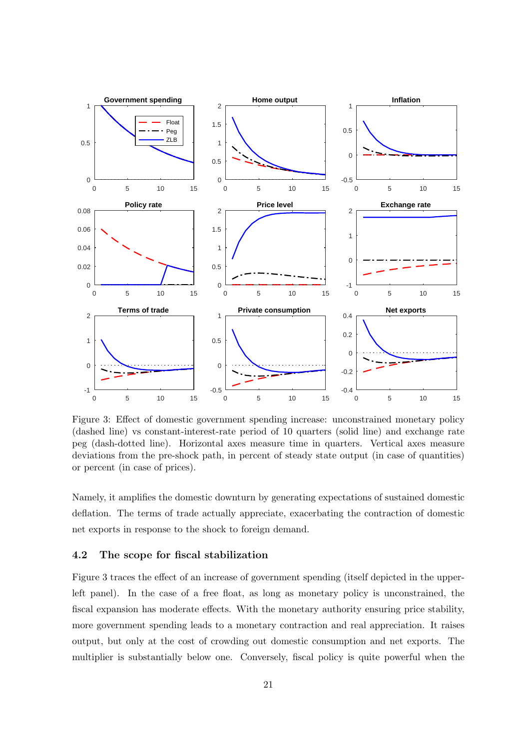

Figure 3: Effect of domestic government spending increase: unconstrained monetary policy (dashed line) vs constant-interest-rate period of 10 quarters (solid line) and exchange rate peg (dash-dotted line). Horizontal axes measure time in quarters. Vertical axes measure deviations from the pre-shock path, in percent of steady state output (in case of quantities) or percent (in case of prices).

Namely, it amplifies the domestic downturn by generating expectations of sustained domestic deflation. The terms of trade actually appreciate, exacerbating the contraction of domestic net exports in response to the shock to foreign demand.

#### 4.2 The scope for fiscal stabilization

Figure 3 traces the effect of an increase of government spending (itself depicted in the upperleft panel). In the case of a free float, as long as monetary policy is unconstrained, the fiscal expansion has moderate effects. With the monetary authority ensuring price stability, more government spending leads to a monetary contraction and real appreciation. It raises output, but only at the cost of crowding out domestic consumption and net exports. The multiplier is substantially below one. Conversely, fiscal policy is quite powerful when the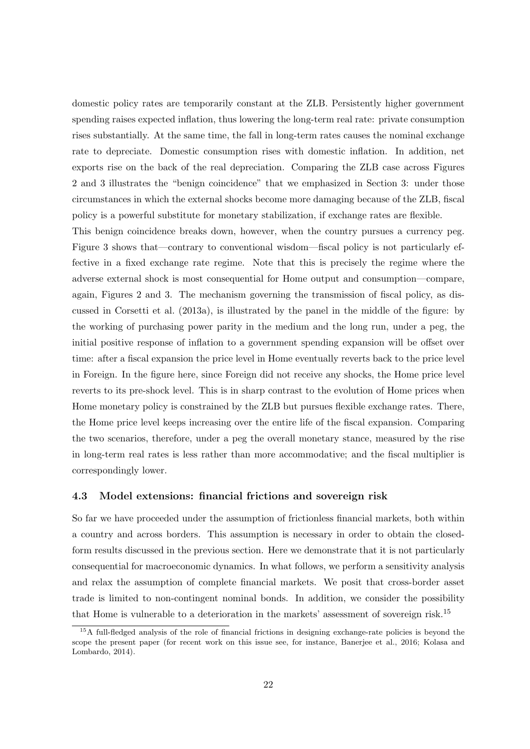domestic policy rates are temporarily constant at the ZLB. Persistently higher government spending raises expected inflation, thus lowering the long-term real rate: private consumption rises substantially. At the same time, the fall in long-term rates causes the nominal exchange rate to depreciate. Domestic consumption rises with domestic inflation. In addition, net exports rise on the back of the real depreciation. Comparing the ZLB case across Figures 2 and 3 illustrates the "benign coincidence" that we emphasized in Section 3: under those circumstances in which the external shocks become more damaging because of the ZLB, fiscal policy is a powerful substitute for monetary stabilization, if exchange rates are flexible.

This benign coincidence breaks down, however, when the country pursues a currency peg. Figure 3 shows that—contrary to conventional wisdom—fiscal policy is not particularly effective in a fixed exchange rate regime. Note that this is precisely the regime where the adverse external shock is most consequential for Home output and consumption—compare, again, Figures 2 and 3. The mechanism governing the transmission of fiscal policy, as discussed in Corsetti et al. (2013a), is illustrated by the panel in the middle of the figure: by the working of purchasing power parity in the medium and the long run, under a peg, the initial positive response of inflation to a government spending expansion will be offset over time: after a fiscal expansion the price level in Home eventually reverts back to the price level in Foreign. In the figure here, since Foreign did not receive any shocks, the Home price level reverts to its pre-shock level. This is in sharp contrast to the evolution of Home prices when Home monetary policy is constrained by the ZLB but pursues flexible exchange rates. There, the Home price level keeps increasing over the entire life of the fiscal expansion. Comparing the two scenarios, therefore, under a peg the overall monetary stance, measured by the rise in long-term real rates is less rather than more accommodative; and the fiscal multiplier is correspondingly lower.

#### 4.3 Model extensions: financial frictions and sovereign risk

So far we have proceeded under the assumption of frictionless financial markets, both within a country and across borders. This assumption is necessary in order to obtain the closedform results discussed in the previous section. Here we demonstrate that it is not particularly consequential for macroeconomic dynamics. In what follows, we perform a sensitivity analysis and relax the assumption of complete financial markets. We posit that cross-border asset trade is limited to non-contingent nominal bonds. In addition, we consider the possibility that Home is vulnerable to a deterioration in the markets' assessment of sovereign risk.<sup>15</sup>

<sup>15</sup>A full-fledged analysis of the role of financial frictions in designing exchange-rate policies is beyond the scope the present paper (for recent work on this issue see, for instance, Banerjee et al., 2016; Kolasa and Lombardo, 2014).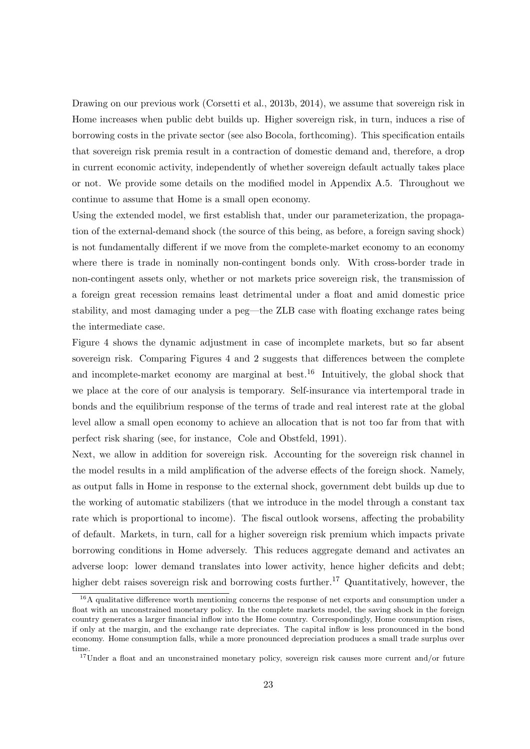Drawing on our previous work (Corsetti et al., 2013b, 2014), we assume that sovereign risk in Home increases when public debt builds up. Higher sovereign risk, in turn, induces a rise of borrowing costs in the private sector (see also Bocola, forthcoming). This specification entails that sovereign risk premia result in a contraction of domestic demand and, therefore, a drop in current economic activity, independently of whether sovereign default actually takes place or not. We provide some details on the modified model in Appendix A.5. Throughout we continue to assume that Home is a small open economy.

Using the extended model, we first establish that, under our parameterization, the propagation of the external-demand shock (the source of this being, as before, a foreign saving shock) is not fundamentally different if we move from the complete-market economy to an economy where there is trade in nominally non-contingent bonds only. With cross-border trade in non-contingent assets only, whether or not markets price sovereign risk, the transmission of a foreign great recession remains least detrimental under a float and amid domestic price stability, and most damaging under a peg—the ZLB case with floating exchange rates being the intermediate case.

Figure 4 shows the dynamic adjustment in case of incomplete markets, but so far absent sovereign risk. Comparing Figures 4 and 2 suggests that differences between the complete and incomplete-market economy are marginal at best.<sup>16</sup> Intuitively, the global shock that we place at the core of our analysis is temporary. Self-insurance via intertemporal trade in bonds and the equilibrium response of the terms of trade and real interest rate at the global level allow a small open economy to achieve an allocation that is not too far from that with perfect risk sharing (see, for instance, Cole and Obstfeld, 1991).

Next, we allow in addition for sovereign risk. Accounting for the sovereign risk channel in the model results in a mild amplification of the adverse effects of the foreign shock. Namely, as output falls in Home in response to the external shock, government debt builds up due to the working of automatic stabilizers (that we introduce in the model through a constant tax rate which is proportional to income). The fiscal outlook worsens, affecting the probability of default. Markets, in turn, call for a higher sovereign risk premium which impacts private borrowing conditions in Home adversely. This reduces aggregate demand and activates an adverse loop: lower demand translates into lower activity, hence higher deficits and debt; higher debt raises sovereign risk and borrowing costs further.<sup>17</sup> Quantitatively, however, the

 $16A$  qualitative difference worth mentioning concerns the response of net exports and consumption under a float with an unconstrained monetary policy. In the complete markets model, the saving shock in the foreign country generates a larger financial inflow into the Home country. Correspondingly, Home consumption rises, if only at the margin, and the exchange rate depreciates. The capital inflow is less pronounced in the bond economy. Home consumption falls, while a more pronounced depreciation produces a small trade surplus over time.

 $17$ Under a float and an unconstrained monetary policy, sovereign risk causes more current and/or future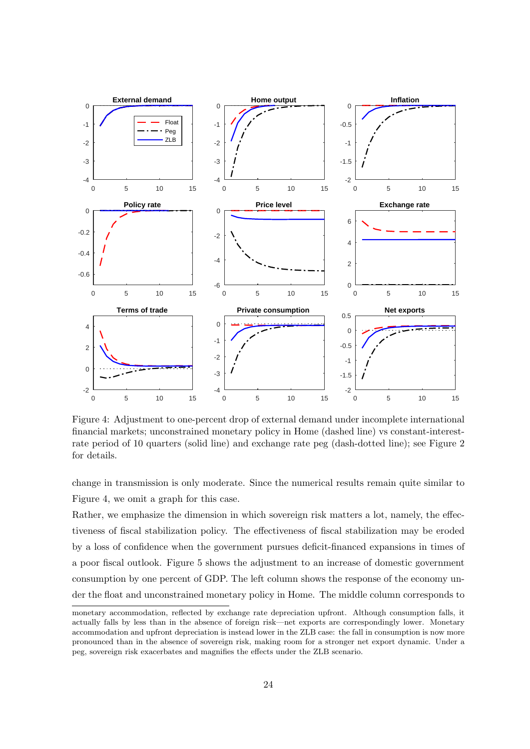

Figure 4: Adjustment to one-percent drop of external demand under incomplete international financial markets; unconstrained monetary policy in Home (dashed line) vs constant-interestrate period of 10 quarters (solid line) and exchange rate peg (dash-dotted line); see Figure 2 for details.

change in transmission is only moderate. Since the numerical results remain quite similar to Figure 4, we omit a graph for this case.

Rather, we emphasize the dimension in which sovereign risk matters a lot, namely, the effectiveness of fiscal stabilization policy. The effectiveness of fiscal stabilization may be eroded by a loss of confidence when the government pursues deficit-financed expansions in times of a poor fiscal outlook. Figure 5 shows the adjustment to an increase of domestic government consumption by one percent of GDP. The left column shows the response of the economy under the float and unconstrained monetary policy in Home. The middle column corresponds to

monetary accommodation, reflected by exchange rate depreciation upfront. Although consumption falls, it actually falls by less than in the absence of foreign risk—net exports are correspondingly lower. Monetary accommodation and upfront depreciation is instead lower in the ZLB case: the fall in consumption is now more pronounced than in the absence of sovereign risk, making room for a stronger net export dynamic. Under a peg, sovereign risk exacerbates and magnifies the effects under the ZLB scenario.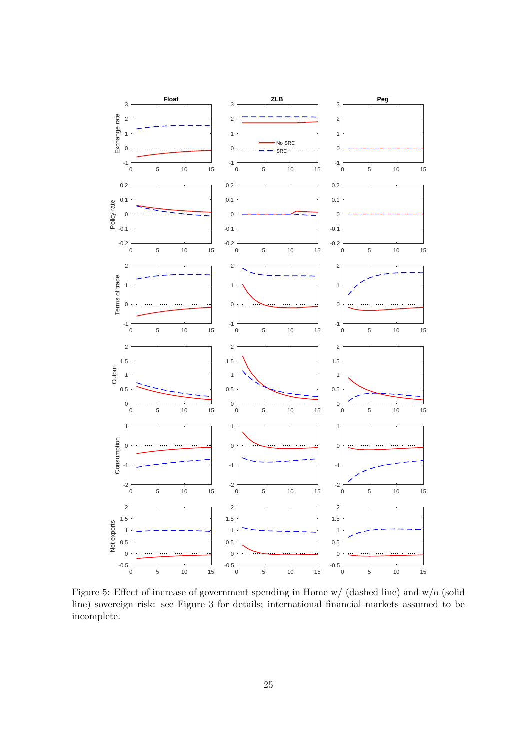

Figure 5: Effect of increase of government spending in Home w/ (dashed line) and w/o (solid line) sovereign risk: see Figure 3 for details; international financial markets assumed to be incomplete.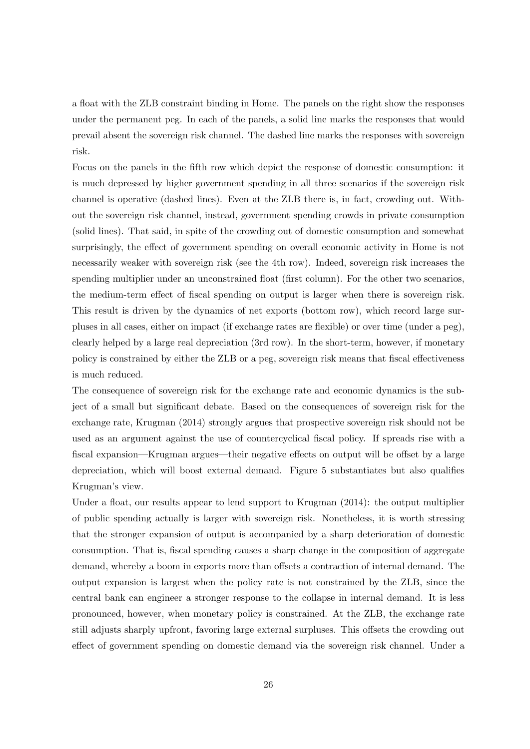a float with the ZLB constraint binding in Home. The panels on the right show the responses under the permanent peg. In each of the panels, a solid line marks the responses that would prevail absent the sovereign risk channel. The dashed line marks the responses with sovereign risk.

Focus on the panels in the fifth row which depict the response of domestic consumption: it is much depressed by higher government spending in all three scenarios if the sovereign risk channel is operative (dashed lines). Even at the ZLB there is, in fact, crowding out. Without the sovereign risk channel, instead, government spending crowds in private consumption (solid lines). That said, in spite of the crowding out of domestic consumption and somewhat surprisingly, the effect of government spending on overall economic activity in Home is not necessarily weaker with sovereign risk (see the 4th row). Indeed, sovereign risk increases the spending multiplier under an unconstrained float (first column). For the other two scenarios, the medium-term effect of fiscal spending on output is larger when there is sovereign risk. This result is driven by the dynamics of net exports (bottom row), which record large surpluses in all cases, either on impact (if exchange rates are flexible) or over time (under a peg), clearly helped by a large real depreciation (3rd row). In the short-term, however, if monetary policy is constrained by either the ZLB or a peg, sovereign risk means that fiscal effectiveness is much reduced.

The consequence of sovereign risk for the exchange rate and economic dynamics is the subject of a small but significant debate. Based on the consequences of sovereign risk for the exchange rate, Krugman (2014) strongly argues that prospective sovereign risk should not be used as an argument against the use of countercyclical fiscal policy. If spreads rise with a fiscal expansion—Krugman argues—their negative effects on output will be offset by a large depreciation, which will boost external demand. Figure 5 substantiates but also qualifies Krugman's view.

Under a float, our results appear to lend support to Krugman (2014): the output multiplier of public spending actually is larger with sovereign risk. Nonetheless, it is worth stressing that the stronger expansion of output is accompanied by a sharp deterioration of domestic consumption. That is, fiscal spending causes a sharp change in the composition of aggregate demand, whereby a boom in exports more than offsets a contraction of internal demand. The output expansion is largest when the policy rate is not constrained by the ZLB, since the central bank can engineer a stronger response to the collapse in internal demand. It is less pronounced, however, when monetary policy is constrained. At the ZLB, the exchange rate still adjusts sharply upfront, favoring large external surpluses. This offsets the crowding out effect of government spending on domestic demand via the sovereign risk channel. Under a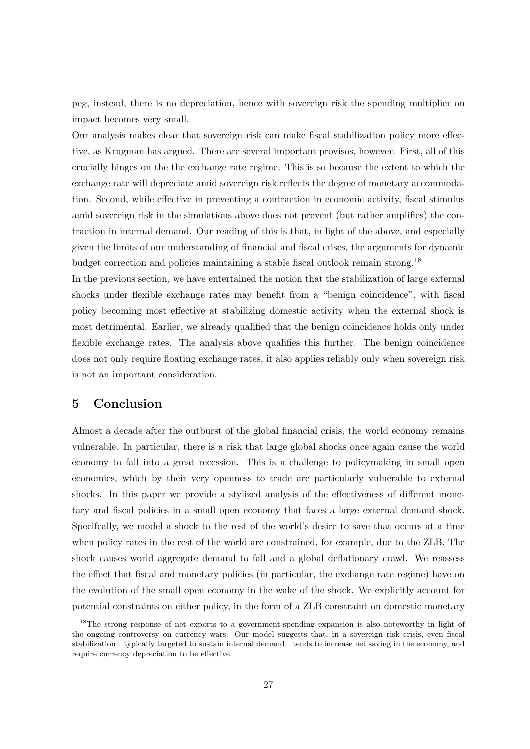peg, instead, there is no depreciation, hence with sovereign risk the spending multiplier on impact becomes very small.

Our analysis makes clear that sovereign risk can make fiscal stabilization policy more effective, as Krugman has argued. There are several important provisos, however. First, all of this crucially hinges on the the exchange rate regime. This is so because the extent to which the exchange rate will depreciate amid sovereign risk reflects the degree of monetary accommodation. Second, while effective in preventing a contraction in economic activity, fiscal stimulus amid sovereign risk in the simulations above does not prevent (but rather amplifies) the contraction in internal demand. Our reading of this is that, in light of the above, and especially given the limits of our understanding of financial and fiscal crises, the arguments for dynamic budget correction and policies maintaining a stable fiscal outlook remain strong.<sup>18</sup>

In the previous section, we have entertained the notion that the stabilization of large external shocks under flexible exchange rates may benefit from a "benign coincidence", with fiscal policy becoming most effective at stabilizing domestic activity when the external shock is most detrimental. Earlier, we already qualified that the benign coincidence holds only under flexible exchange rates. The analysis above qualifies this further. The benign coincidence does not only require floating exchange rates, it also applies reliably only when sovereign risk is not an important consideration.

## 5 Conclusion

Almost a decade after the outburst of the global financial crisis, the world economy remains vulnerable. In particular, there is a risk that large global shocks once again cause the world economy to fall into a great recession. This is a challenge to policymaking in small open economies, which by their very openness to trade are particularly vulnerable to external shocks. In this paper we provide a stylized analysis of the effectiveness of different monetary and fiscal policies in a small open economy that faces a large external demand shock. Specifcally, we model a shock to the rest of the world's desire to save that occurs at a time when policy rates in the rest of the world are constrained, for example, due to the ZLB. The shock causes world aggregate demand to fall and a global deflationary crawl. We reassess the effect that fiscal and monetary policies (in particular, the exchange rate regime) have on the evolution of the small open economy in the wake of the shock. We explicitly account for potential constraints on either policy, in the form of a ZLB constraint on domestic monetary

<sup>18</sup>The strong response of net exports to a government-spending expansion is also noteworthy in light of the ongoing controversy on currency wars. Our model suggests that, in a sovereign risk crisis, even fiscal stabilization—typically targeted to sustain internal demand—tends to increase net saving in the economy, and require currency depreciation to be effective.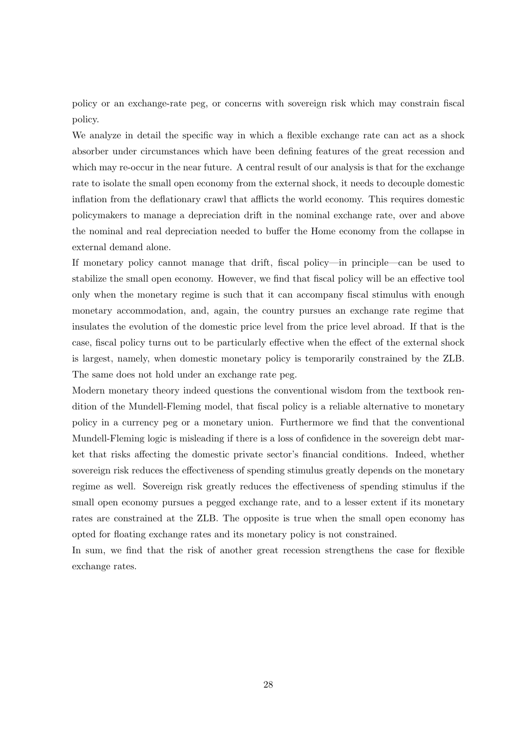policy or an exchange-rate peg, or concerns with sovereign risk which may constrain fiscal policy.

We analyze in detail the specific way in which a flexible exchange rate can act as a shock absorber under circumstances which have been defining features of the great recession and which may re-occur in the near future. A central result of our analysis is that for the exchange rate to isolate the small open economy from the external shock, it needs to decouple domestic inflation from the deflationary crawl that afflicts the world economy. This requires domestic policymakers to manage a depreciation drift in the nominal exchange rate, over and above the nominal and real depreciation needed to buffer the Home economy from the collapse in external demand alone.

If monetary policy cannot manage that drift, fiscal policy—in principle—can be used to stabilize the small open economy. However, we find that fiscal policy will be an effective tool only when the monetary regime is such that it can accompany fiscal stimulus with enough monetary accommodation, and, again, the country pursues an exchange rate regime that insulates the evolution of the domestic price level from the price level abroad. If that is the case, fiscal policy turns out to be particularly effective when the effect of the external shock is largest, namely, when domestic monetary policy is temporarily constrained by the ZLB. The same does not hold under an exchange rate peg.

Modern monetary theory indeed questions the conventional wisdom from the textbook rendition of the Mundell-Fleming model, that fiscal policy is a reliable alternative to monetary policy in a currency peg or a monetary union. Furthermore we find that the conventional Mundell-Fleming logic is misleading if there is a loss of confidence in the sovereign debt market that risks affecting the domestic private sector's financial conditions. Indeed, whether sovereign risk reduces the effectiveness of spending stimulus greatly depends on the monetary regime as well. Sovereign risk greatly reduces the effectiveness of spending stimulus if the small open economy pursues a pegged exchange rate, and to a lesser extent if its monetary rates are constrained at the ZLB. The opposite is true when the small open economy has opted for floating exchange rates and its monetary policy is not constrained.

In sum, we find that the risk of another great recession strengthens the case for flexible exchange rates.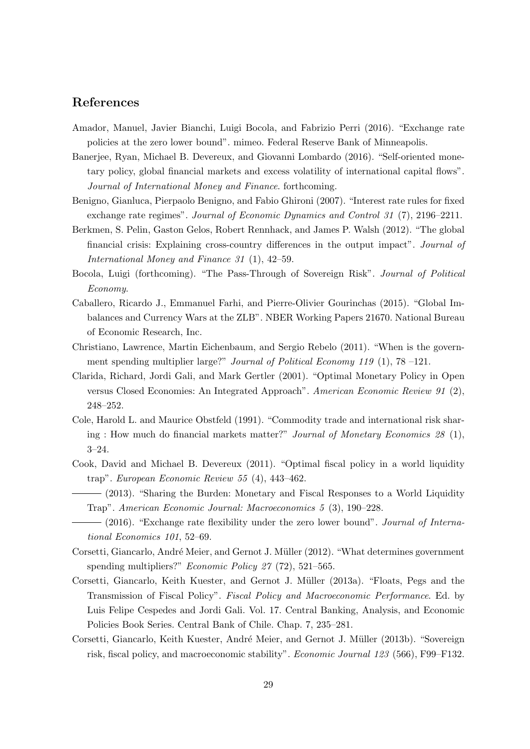## References

- Amador, Manuel, Javier Bianchi, Luigi Bocola, and Fabrizio Perri (2016). "Exchange rate policies at the zero lower bound". mimeo. Federal Reserve Bank of Minneapolis.
- Banerjee, Ryan, Michael B. Devereux, and Giovanni Lombardo (2016). "Self-oriented monetary policy, global financial markets and excess volatility of international capital flows". Journal of International Money and Finance. forthcoming.
- Benigno, Gianluca, Pierpaolo Benigno, and Fabio Ghironi (2007). "Interest rate rules for fixed exchange rate regimes". Journal of Economic Dynamics and Control 31 (7), 2196–2211.
- Berkmen, S. Pelin, Gaston Gelos, Robert Rennhack, and James P. Walsh (2012). "The global financial crisis: Explaining cross-country differences in the output impact". Journal of International Money and Finance 31 (1), 42–59.
- Bocola, Luigi (forthcoming). "The Pass-Through of Sovereign Risk". Journal of Political Economy.
- Caballero, Ricardo J., Emmanuel Farhi, and Pierre-Olivier Gourinchas (2015). "Global Imbalances and Currency Wars at the ZLB". NBER Working Papers 21670. National Bureau of Economic Research, Inc.
- Christiano, Lawrence, Martin Eichenbaum, and Sergio Rebelo (2011). "When is the government spending multiplier large?" *Journal of Political Economy 119* (1), 78 –121.
- Clarida, Richard, Jordi Gali, and Mark Gertler (2001). "Optimal Monetary Policy in Open versus Closed Economies: An Integrated Approach". American Economic Review 91 (2), 248–252.
- Cole, Harold L. and Maurice Obstfeld (1991). "Commodity trade and international risk sharing : How much do financial markets matter?" Journal of Monetary Economics 28 (1), 3–24.
- Cook, David and Michael B. Devereux (2011). "Optimal fiscal policy in a world liquidity trap". European Economic Review 55 (4), 443–462.
	- (2013). "Sharing the Burden: Monetary and Fiscal Responses to a World Liquidity Trap". American Economic Journal: Macroeconomics 5 (3), 190–228.
- (2016). "Exchange rate flexibility under the zero lower bound". Journal of International Economics 101, 52–69.
- Corsetti, Giancarlo, André Meier, and Gernot J. Müller (2012). "What determines government spending multipliers?" Economic Policy 27 (72), 521–565.
- Corsetti, Giancarlo, Keith Kuester, and Gernot J. Müller (2013a). "Floats, Pegs and the Transmission of Fiscal Policy". Fiscal Policy and Macroeconomic Performance. Ed. by Luis Felipe Cespedes and Jordi Gali. Vol. 17. Central Banking, Analysis, and Economic Policies Book Series. Central Bank of Chile. Chap. 7, 235–281.
- Corsetti, Giancarlo, Keith Kuester, André Meier, and Gernot J. Müller (2013b). "Sovereign risk, fiscal policy, and macroeconomic stability". Economic Journal 123 (566), F99–F132.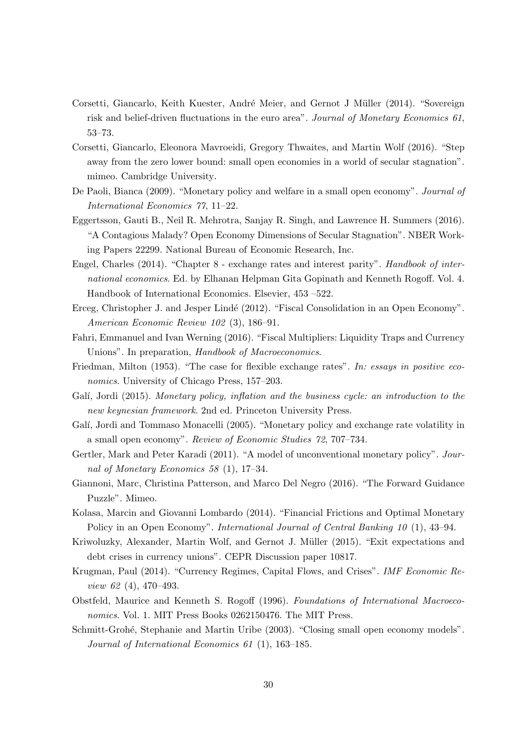- Corsetti, Giancarlo, Keith Kuester, André Meier, and Gernot J Müller (2014). "Sovereign risk and belief-driven fluctuations in the euro area". Journal of Monetary Economics 61, 53–73.
- Corsetti, Giancarlo, Eleonora Mavroeidi, Gregory Thwaites, and Martin Wolf (2016). "Step away from the zero lower bound: small open economies in a world of secular stagnation". mimeo. Cambridge University.
- De Paoli, Bianca (2009). "Monetary policy and welfare in a small open economy". Journal of International Economics 77, 11–22.
- Eggertsson, Gauti B., Neil R. Mehrotra, Sanjay R. Singh, and Lawrence H. Summers (2016). "A Contagious Malady? Open Economy Dimensions of Secular Stagnation". NBER Working Papers 22299. National Bureau of Economic Research, Inc.
- Engel, Charles (2014). "Chapter 8 exchange rates and interest parity". Handbook of international economics. Ed. by Elhanan Helpman Gita Gopinath and Kenneth Rogoff. Vol. 4. Handbook of International Economics. Elsevier, 453 –522.
- Erceg, Christopher J. and Jesper Lindé (2012). "Fiscal Consolidation in an Open Economy". American Economic Review 102 (3), 186–91.
- Fahri, Emmanuel and Ivan Werning (2016). "Fiscal Multipliers: Liquidity Traps and Currency Unions". In preparation, Handbook of Macroeconomics.
- Friedman, Milton (1953). "The case for flexible exchange rates". In: essays in positive economics. University of Chicago Press, 157–203.
- Galí, Jordi (2015). Monetary policy, inflation and the business cycle: an introduction to the new keynesian framework. 2nd ed. Princeton University Press.
- Galí, Jordi and Tommaso Monacelli (2005). "Monetary policy and exchange rate volatility in a small open economy". Review of Economic Studies 72, 707–734.
- Gertler, Mark and Peter Karadi (2011). "A model of unconventional monetary policy". Journal of Monetary Economics 58 (1), 17–34.
- Giannoni, Marc, Christina Patterson, and Marco Del Negro (2016). "The Forward Guidance Puzzle". Mimeo.
- Kolasa, Marcin and Giovanni Lombardo (2014). "Financial Frictions and Optimal Monetary Policy in an Open Economy". International Journal of Central Banking 10 (1), 43–94.
- Kriwoluzky, Alexander, Martin Wolf, and Gernot J. Müller (2015). "Exit expectations and debt crises in currency unions". CEPR Discussion paper 10817.
- Krugman, Paul (2014). "Currency Regimes, Capital Flows, and Crises". IMF Economic Review 62 (4), 470–493.
- Obstfeld, Maurice and Kenneth S. Rogoff (1996). Foundations of International Macroeconomics. Vol. 1. MIT Press Books 0262150476. The MIT Press.
- Schmitt-Grohé, Stephanie and Martin Uribe (2003). "Closing small open economy models". Journal of International Economics 61 (1), 163–185.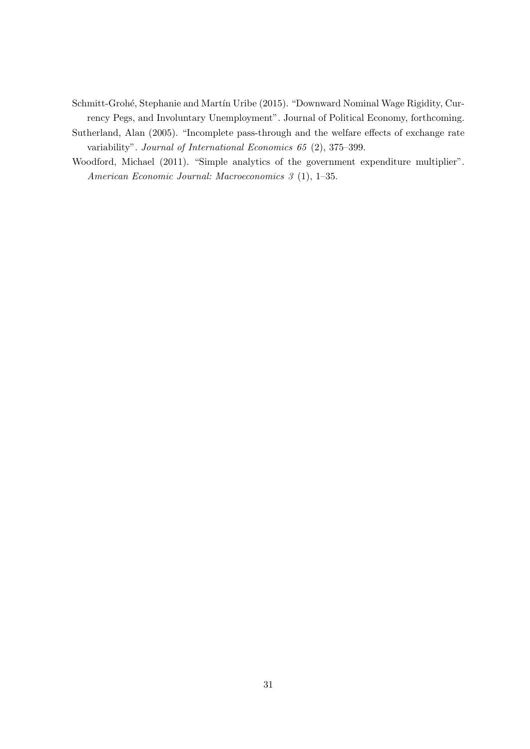- Schmitt-Grohé, Stephanie and Martín Uribe (2015). "Downward Nominal Wage Rigidity, Currency Pegs, and Involuntary Unemployment". Journal of Political Economy, forthcoming.
- Sutherland, Alan (2005). "Incomplete pass-through and the welfare effects of exchange rate variability". Journal of International Economics 65 (2), 375–399.
- Woodford, Michael (2011). "Simple analytics of the government expenditure multiplier". American Economic Journal: Macroeconomics 3 (1), 1–35.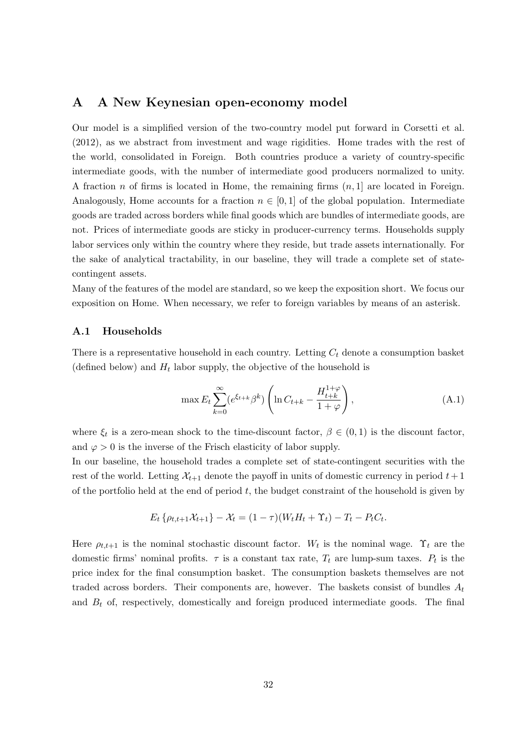### A A New Keynesian open-economy model

Our model is a simplified version of the two-country model put forward in Corsetti et al. (2012), as we abstract from investment and wage rigidities. Home trades with the rest of the world, consolidated in Foreign. Both countries produce a variety of country-specific intermediate goods, with the number of intermediate good producers normalized to unity. A fraction n of firms is located in Home, the remaining firms  $(n, 1]$  are located in Foreign. Analogously, Home accounts for a fraction  $n \in [0, 1]$  of the global population. Intermediate goods are traded across borders while final goods which are bundles of intermediate goods, are not. Prices of intermediate goods are sticky in producer-currency terms. Households supply labor services only within the country where they reside, but trade assets internationally. For the sake of analytical tractability, in our baseline, they will trade a complete set of statecontingent assets.

Many of the features of the model are standard, so we keep the exposition short. We focus our exposition on Home. When necessary, we refer to foreign variables by means of an asterisk.

#### A.1 Households

There is a representative household in each country. Letting  $C_t$  denote a consumption basket (defined below) and  $H_t$  labor supply, the objective of the household is

$$
\max E_t \sum_{k=0}^{\infty} (e^{\xi_{t+k}} \beta^k) \left( \ln C_{t+k} - \frac{H_{t+k}^{1+\varphi}}{1+\varphi} \right), \tag{A.1}
$$

where  $\xi_t$  is a zero-mean shock to the time-discount factor,  $\beta \in (0,1)$  is the discount factor, and  $\varphi > 0$  is the inverse of the Frisch elasticity of labor supply.

In our baseline, the household trades a complete set of state-contingent securities with the rest of the world. Letting  $\mathcal{X}_{t+1}$  denote the payoff in units of domestic currency in period  $t+1$ of the portfolio held at the end of period  $t$ , the budget constraint of the household is given by

$$
E_t \left\{ \rho_{t,t+1} \mathcal{X}_{t+1} \right\} - \mathcal{X}_t = (1 - \tau) (W_t H_t + \Upsilon_t) - T_t - P_t C_t.
$$

Here  $\rho_{t,t+1}$  is the nominal stochastic discount factor. W<sub>t</sub> is the nominal wage.  $\Upsilon_t$  are the domestic firms' nominal profits.  $\tau$  is a constant tax rate,  $T_t$  are lump-sum taxes.  $P_t$  is the price index for the final consumption basket. The consumption baskets themselves are not traded across borders. Their components are, however. The baskets consist of bundles  $A_t$ and  $B_t$  of, respectively, domestically and foreign produced intermediate goods. The final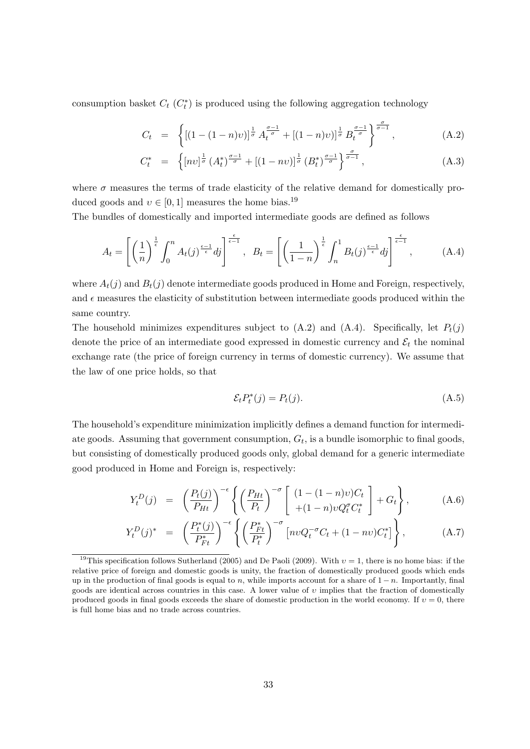consumption basket  $C_t$  ( $C_t^*$ ) is produced using the following aggregation technology

$$
C_t = \left\{ \left[ (1 - (1 - n)v) \right]^{\frac{1}{\sigma}} A_t^{\frac{\sigma - 1}{\sigma}} + \left[ (1 - n)v \right]_{\frac{1}{\sigma}} B_t^{\frac{\sigma - 1}{\sigma}} \right\}^{\frac{\sigma}{\sigma - 1}}, \tag{A.2}
$$

$$
C_t^* = \left\{ [nv]^{\frac{1}{\sigma}} \left( A_t^* \right)^{\frac{\sigma - 1}{\sigma}} + \left[ (1 - nv) \right]^{\frac{1}{\sigma}} \left( B_t^* \right)^{\frac{\sigma - 1}{\sigma}} \right\}^{\frac{\sigma}{\sigma - 1}}, \tag{A.3}
$$

where  $\sigma$  measures the terms of trade elasticity of the relative demand for domestically produced goods and  $v \in [0, 1]$  measures the home bias.<sup>19</sup>

The bundles of domestically and imported intermediate goods are defined as follows

$$
A_t = \left[ \left( \frac{1}{n} \right)^{\frac{1}{\epsilon}} \int_0^n A_t(j)^{\frac{\epsilon - 1}{\epsilon}} dj \right]^{\frac{\epsilon}{\epsilon - 1}}, \quad B_t = \left[ \left( \frac{1}{1 - n} \right)^{\frac{1}{\epsilon}} \int_n^1 B_t(j)^{\frac{\epsilon - 1}{\epsilon}} dj \right]^{\frac{\epsilon}{\epsilon - 1}}, \tag{A.4}
$$

where  $A_t(j)$  and  $B_t(j)$  denote intermediate goods produced in Home and Foreign, respectively, and  $\epsilon$  measures the elasticity of substitution between intermediate goods produced within the same country.

The household minimizes expenditures subject to  $(A.2)$  and  $(A.4)$ . Specifically, let  $P_t(j)$ denote the price of an intermediate good expressed in domestic currency and  $\mathcal{E}_t$  the nominal exchange rate (the price of foreign currency in terms of domestic currency). We assume that the law of one price holds, so that

$$
\mathcal{E}_t P_t^*(j) = P_t(j). \tag{A.5}
$$

The household's expenditure minimization implicitly defines a demand function for intermediate goods. Assuming that government consumption,  $G_t$ , is a bundle isomorphic to final goods, but consisting of domestically produced goods only, global demand for a generic intermediate good produced in Home and Foreign is, respectively:

$$
Y_t^D(j) = \left(\frac{P_t(j)}{P_{Ht}}\right)^{-\epsilon} \left\{ \left(\frac{P_{Ht}}{P_t}\right)^{-\sigma} \left[\begin{array}{c} (1-(1-n)v)C_t\\+(1-n)vQ_t^{\sigma}C_t^* \end{array}\right] + G_t \right\},\tag{A.6}
$$

$$
Y_t^D(j)^* = \left(\frac{P_t^*(j)}{P_{Ft}^*}\right)^{-\epsilon} \left\{ \left(\frac{P_{Ft}^*}{P_t^*}\right)^{-\sigma} \left[ n\nu Q_t^{-\sigma} C_t + (1 - n\nu) C_t^* \right] \right\},\tag{A.7}
$$

<sup>&</sup>lt;sup>19</sup>This specification follows Sutherland (2005) and De Paoli (2009). With  $v = 1$ , there is no home bias: if the relative price of foreign and domestic goods is unity, the fraction of domestically produced goods which ends up in the production of final goods is equal to n, while imports account for a share of  $1 - n$ . Importantly, final goods are identical across countries in this case. A lower value of  $v$  implies that the fraction of domestically produced goods in final goods exceeds the share of domestic production in the world economy. If  $v = 0$ , there is full home bias and no trade across countries.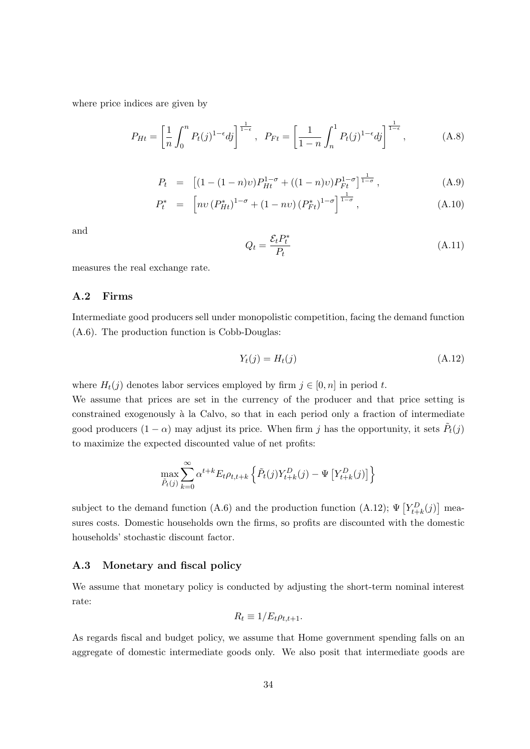where price indices are given by

$$
P_{Ht} = \left[\frac{1}{n} \int_0^n P_t(j)^{1-\epsilon} dj\right]^{\frac{1}{1-\epsilon}}, \quad P_{Ft} = \left[\frac{1}{1-n} \int_n^1 P_t(j)^{1-\epsilon} dj\right]^{\frac{1}{1-\epsilon}}, \tag{A.8}
$$

$$
P_t = [(1 - (1 - n)v)P_{Ht}^{1 - \sigma} + ((1 - n)v)P_{Ft}^{1 - \sigma}]^{\frac{1}{1 - \sigma}}, \qquad (A.9)
$$

$$
P_t^* = \left[ n v \left( P_{Ht}^* \right)^{1-\sigma} + (1 - n v) \left( P_{Ft}^* \right)^{1-\sigma} \right]^{\frac{1}{1-\sigma}}, \tag{A.10}
$$

and

$$
Q_t = \frac{\mathcal{E}_t P_t^*}{P_t} \tag{A.11}
$$

measures the real exchange rate.

#### A.2 Firms

Intermediate good producers sell under monopolistic competition, facing the demand function (A.6). The production function is Cobb-Douglas:

$$
Y_t(j) = H_t(j) \tag{A.12}
$$

where  $H_t(j)$  denotes labor services employed by firm  $j \in [0, n]$  in period t.

We assume that prices are set in the currency of the producer and that price setting is constrained exogenously à la Calvo, so that in each period only a fraction of intermediate good producers  $(1 - \alpha)$  may adjust its price. When firm j has the opportunity, it sets  $\tilde{P}_t(j)$ to maximize the expected discounted value of net profits:

$$
\max_{\tilde{P}_t(j)} \sum_{k=0}^{\infty} \alpha^{t+k} E_t \rho_{t,t+k} \left\{ \tilde{P}_t(j) Y_{t+k}^D(j) - \Psi \left[ Y_{t+k}^D(j) \right] \right\}
$$

subject to the demand function (A.6) and the production function (A.12);  $\Psi \left[ Y_{t+k}^D(j) \right]$  measures costs. Domestic households own the firms, so profits are discounted with the domestic households' stochastic discount factor.

#### A.3 Monetary and fiscal policy

We assume that monetary policy is conducted by adjusting the short-term nominal interest rate:

$$
R_t \equiv 1/E_t \rho_{t,t+1}.
$$

As regards fiscal and budget policy, we assume that Home government spending falls on an aggregate of domestic intermediate goods only. We also posit that intermediate goods are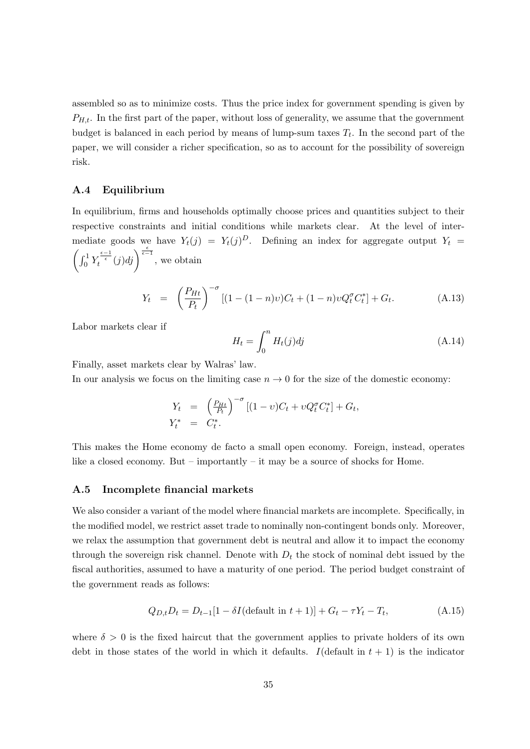assembled so as to minimize costs. Thus the price index for government spending is given by  $P_{H,t}$ . In the first part of the paper, without loss of generality, we assume that the government budget is balanced in each period by means of lump-sum taxes  $T_t$ . In the second part of the paper, we will consider a richer specification, so as to account for the possibility of sovereign risk.

#### A.4 Equilibrium

In equilibrium, firms and households optimally choose prices and quantities subject to their respective constraints and initial conditions while markets clear. At the level of intermediate goods we have  $Y_t(j) = Y_t(j)^D$ . Defining an index for aggregate output  $Y_t =$  $\left(\int_0^1 Y_t^{\frac{\epsilon-1}{\epsilon}}(j)dj\right)^{\frac{\epsilon}{\epsilon-1}},$  we obtain

$$
Y_t = \left(\frac{P_{Ht}}{P_t}\right)^{-\sigma} [(1 - (1 - n)v)C_t + (1 - n)vQ_t^{\sigma} C_t^*] + G_t.
$$
 (A.13)

Labor markets clear if

$$
H_t = \int_0^n H_t(j)dj \tag{A.14}
$$

Finally, asset markets clear by Walras' law.

In our analysis we focus on the limiting case  $n \to 0$  for the size of the domestic economy:

$$
Y_t = \left(\frac{P_{Ht}}{P_t}\right)^{-\sigma} [(1 - v)C_t + vQ_t^{\sigma} C_t^*] + G_t,
$$
  

$$
Y_t^* = C_t^*.
$$

This makes the Home economy de facto a small open economy. Foreign, instead, operates like a closed economy. But – importantly – it may be a source of shocks for Home.

#### A.5 Incomplete financial markets

We also consider a variant of the model where financial markets are incomplete. Specifically, in the modified model, we restrict asset trade to nominally non-contingent bonds only. Moreover, we relax the assumption that government debt is neutral and allow it to impact the economy through the sovereign risk channel. Denote with  $D_t$  the stock of nominal debt issued by the fiscal authorities, assumed to have a maturity of one period. The period budget constraint of the government reads as follows:

$$
Q_{D,t}D_t = D_{t-1}[1 - \delta I(\text{default in } t+1)] + G_t - \tau Y_t - T_t, \tag{A.15}
$$

where  $\delta > 0$  is the fixed haircut that the government applies to private holders of its own debt in those states of the world in which it defaults. I (default in  $t + 1$ ) is the indicator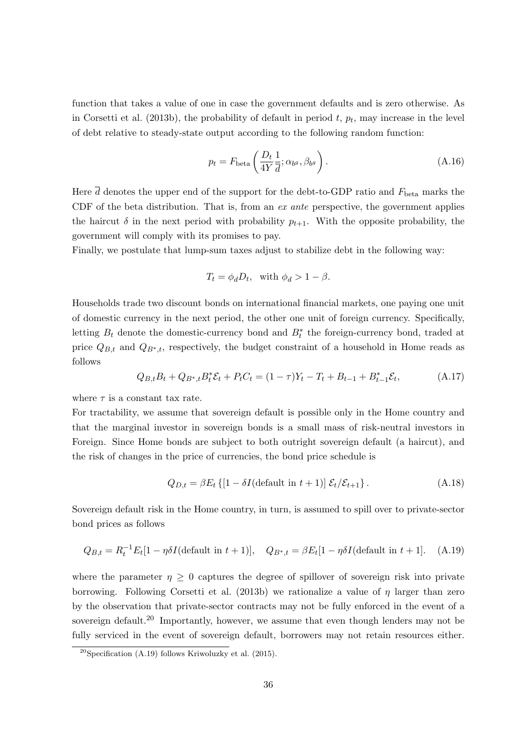function that takes a value of one in case the government defaults and is zero otherwise. As in Corsetti et al. (2013b), the probability of default in period  $t, p_t$ , may increase in the level of debt relative to steady-state output according to the following random function:

$$
p_t = F_{\text{beta}} \left( \frac{D_t}{4Y} \frac{1}{\overline{d}}; \alpha_{b^g}, \beta_{b^g} \right). \tag{A.16}
$$

Here  $\overline{d}$  denotes the upper end of the support for the debt-to-GDP ratio and  $F_{\text{beta}}$  marks the CDF of the beta distribution. That is, from an  $ex$  ante perspective, the government applies the haircut  $\delta$  in the next period with probability  $p_{t+1}$ . With the opposite probability, the government will comply with its promises to pay.

Finally, we postulate that lump-sum taxes adjust to stabilize debt in the following way:

$$
T_t = \phi_d D_t, \text{ with } \phi_d > 1 - \beta.
$$

Households trade two discount bonds on international financial markets, one paying one unit of domestic currency in the next period, the other one unit of foreign currency. Specifically, letting  $B_t$  denote the domestic-currency bond and  $B_t^*$  the foreign-currency bond, traded at price  $Q_{B,t}$  and  $Q_{B^*,t}$ , respectively, the budget constraint of a household in Home reads as follows

$$
Q_{B,t}B_t + Q_{B^*,t}B_t^* \mathcal{E}_t + P_t C_t = (1 - \tau)Y_t - T_t + B_{t-1} + B_{t-1}^* \mathcal{E}_t,
$$
\n(A.17)

where  $\tau$  is a constant tax rate.

For tractability, we assume that sovereign default is possible only in the Home country and that the marginal investor in sovereign bonds is a small mass of risk-neutral investors in Foreign. Since Home bonds are subject to both outright sovereign default (a haircut), and the risk of changes in the price of currencies, the bond price schedule is

$$
Q_{D,t} = \beta E_t \left\{ \left[ 1 - \delta I(\text{default in } t+1) \right] \mathcal{E}_t / \mathcal{E}_{t+1} \right\}. \tag{A.18}
$$

Sovereign default risk in the Home country, in turn, is assumed to spill over to private-sector bond prices as follows

$$
Q_{B,t} = R_t^{-1} E_t [1 - \eta \delta I (\text{default in } t+1)], \quad Q_{B^*,t} = \beta E_t [1 - \eta \delta I (\text{default in } t+1]. \tag{A.19}
$$

where the parameter  $\eta \geq 0$  captures the degree of spillover of sovereign risk into private borrowing. Following Corsetti et al. (2013b) we rationalize a value of  $\eta$  larger than zero by the observation that private-sector contracts may not be fully enforced in the event of a sovereign default.<sup>20</sup> Importantly, however, we assume that even though lenders may not be fully serviced in the event of sovereign default, borrowers may not retain resources either.

<sup>&</sup>lt;sup>20</sup>Specification (A.19) follows Kriwoluzky et al. (2015).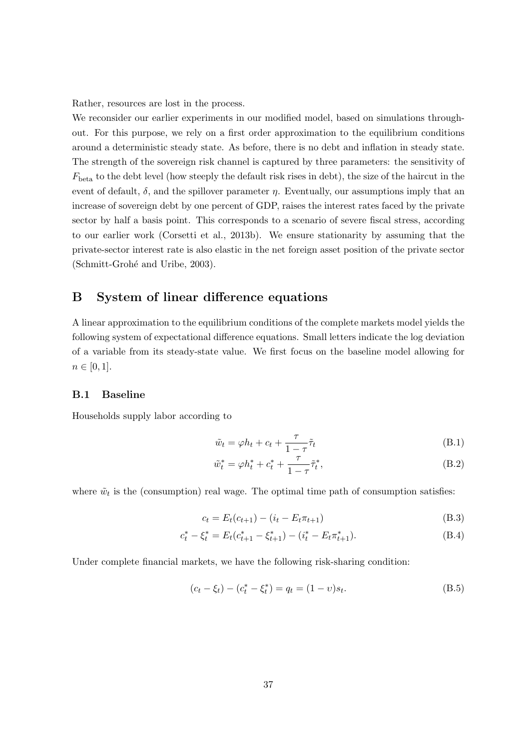Rather, resources are lost in the process.

We reconsider our earlier experiments in our modified model, based on simulations throughout. For this purpose, we rely on a first order approximation to the equilibrium conditions around a deterministic steady state. As before, there is no debt and inflation in steady state. The strength of the sovereign risk channel is captured by three parameters: the sensitivity of  $F_{\text{beta}}$  to the debt level (how steeply the default risk rises in debt), the size of the haircut in the event of default,  $\delta$ , and the spillover parameter  $\eta$ . Eventually, our assumptions imply that an increase of sovereign debt by one percent of GDP, raises the interest rates faced by the private sector by half a basis point. This corresponds to a scenario of severe fiscal stress, according to our earlier work (Corsetti et al., 2013b). We ensure stationarity by assuming that the private-sector interest rate is also elastic in the net foreign asset position of the private sector (Schmitt-Grohé and Uribe, 2003).

## B System of linear difference equations

A linear approximation to the equilibrium conditions of the complete markets model yields the following system of expectational difference equations. Small letters indicate the log deviation of a variable from its steady-state value. We first focus on the baseline model allowing for  $n \in [0, 1].$ 

#### B.1 Baseline

Households supply labor according to

$$
\tilde{w}_t = \varphi h_t + c_t + \frac{\tau}{1 - \tau} \tilde{\tau}_t \tag{B.1}
$$

$$
\tilde{w}_t^* = \varphi h_t^* + c_t^* + \frac{\tau}{1 - \tau} \tilde{\tau}_t^*,
$$
\n(B.2)

where  $\tilde{w}_t$  is the (consumption) real wage. The optimal time path of consumption satisfies:

$$
c_t = E_t(c_{t+1}) - (i_t - E_t \pi_{t+1})
$$
\n(B.3)

$$
c_t^* - \xi_t^* = E_t(c_{t+1}^* - \xi_{t+1}^*) - (i_t^* - E_t \pi_{t+1}^*).
$$
\n(B.4)

Under complete financial markets, we have the following risk-sharing condition:

$$
(c_t - \xi_t) - (c_t^* - \xi_t^*) = q_t = (1 - v)s_t.
$$
\n(B.5)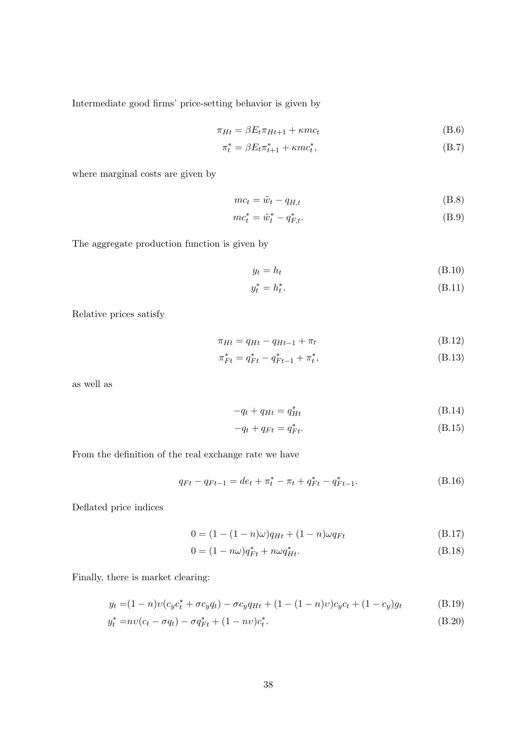Intermediate good firms' price-setting behavior is given by

$$
\pi_{Ht} = \beta E_t \pi_{Ht+1} + \kappa m c_t \tag{B.6}
$$

$$
\pi_t^* = \beta E_t \pi_{t+1}^* + \kappa m c_t^*,\tag{B.7}
$$

where marginal costs are given by

$$
mc_t = \tilde{w}_t - q_{H,t} \tag{B.8}
$$

$$
mc_t^* = \tilde{w}_t^* - q_{F,t}^*.
$$
 (B.9)

The aggregate production function is given by

$$
y_t = h_t \tag{B.10}
$$

$$
y_t^* = h_t^*.\tag{B.11}
$$

Relative prices satisfy

$$
\pi_{Ht} = q_{Ht} - q_{Ht-1} + \pi_t \tag{B.12}
$$

$$
\pi_{Ft}^* = q_{Ft}^* - q_{Ft-1}^* + \pi_t^*,\tag{B.13}
$$

as well as

$$
-q_t + q_{Ht} = q_{Ht}^* \tag{B.14}
$$

$$
-q_t + q_{Ft} = q_{Ft}^*.
$$
\n(B.15)

From the definition of the real exchange rate we have

$$
q_{Ft} - q_{Ft-1} = de_t + \pi_t^* - \pi_t + q_{Ft}^* - q_{Ft-1}^*.
$$
\n(B.16)

Deflated price indices

$$
0 = (1 - (1 - n)\omega)q_{Ht} + (1 - n)\omega q_{Ft}
$$
 (B.17)

$$
0 = (1 - n\omega)q_{Ft}^* + n\omega q_{Ht}^*.
$$
\n(B.18)

Finally, there is market clearing:

$$
y_t = (1 - n)v(c_yc_t^* + \sigma c_yq_t) - \sigma c_yq_{Ht} + (1 - (1 - n)v)c_yc_t + (1 - c_y)g_t
$$
 (B.19)

$$
y_t^* = nv(c_t - \sigma q_t) - \sigma q_{Ft}^* + (1 - nv)c_t^*.
$$
\n(B.20)